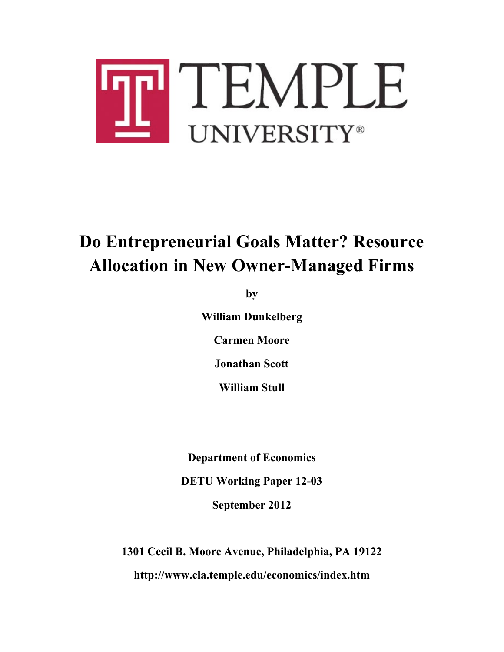

# **Do Entrepreneurial Goals Matter? Resource Allocation in New Owner-Managed Firms**

**by**

**William Dunkelberg**

**Carmen Moore**

**Jonathan Scott**

**William Stull**

**Department of Economics**

**DETU Working Paper 12-03**

**September 2012**

**1301 Cecil B. Moore Avenue, Philadelphia, PA 19122**

**http://www.cla.temple.edu/economics/index.htm**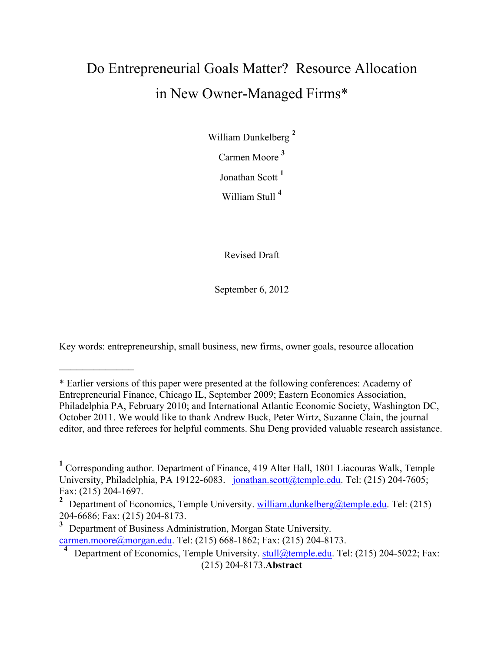## Do Entrepreneurial Goals Matter? Resource Allocation in New Owner-Managed Firms\*

William Dunkelberg **<sup>2</sup>** Carmen Moore **<sup>3</sup>** Jonathan Scott **<sup>1</sup>** William Stull **<sup>4</sup>**

Revised Draft

September 6, 2012

Key words: entrepreneurship, small business, new firms, owner goals, resource allocation

<sup>\*</sup> Earlier versions of this paper were presented at the following conferences: Academy of Entrepreneurial Finance, Chicago IL, September 2009; Eastern Economics Association, Philadelphia PA, February 2010; and International Atlantic Economic Society, Washington DC, October 2011. We would like to thank Andrew Buck, Peter Wirtz, Suzanne Clain, the journal editor, and three referees for helpful comments. Shu Deng provided valuable research assistance.

**<sup>1</sup>** Corresponding author. Department of Finance, 419 Alter Hall, 1801 Liacouras Walk, Temple University, Philadelphia, PA 19122-6083. jonathan.scott@temple.edu. Tel: (215) 204-7605; Fax: (215) 204-1697.

<sup>&</sup>lt;sup>2</sup> Department of Economics, Temple University. william.dunkelberg@temple.edu. Tel: (215) 204-6686; Fax: (215) 204-8173.<br>
Penertment of Business Admi

**<sup>3</sup>**Department of Business Administration, Morgan State University. carmen.moore@morgan.edu. Tel: (215) 668-1862; Fax: (215) 204-8173.

<sup>&</sup>lt;sup>4</sup> Department of Economics, Temple University. stull@temple.edu. Tel: (215) 204-5022; Fax:

<sup>(215) 204-8173.</sup>**Abstract**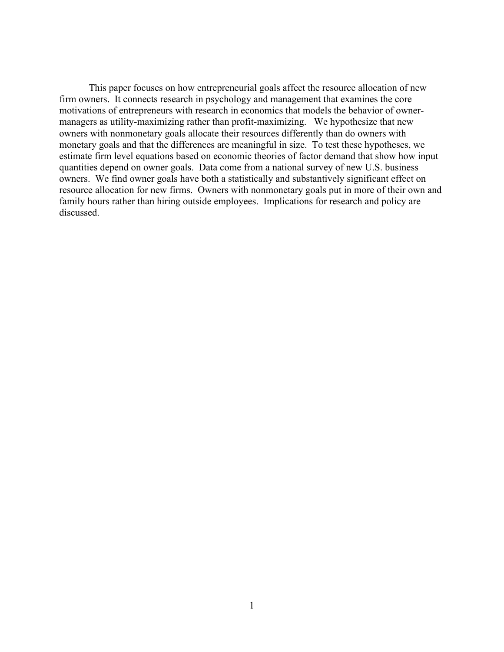This paper focuses on how entrepreneurial goals affect the resource allocation of new firm owners. It connects research in psychology and management that examines the core motivations of entrepreneurs with research in economics that models the behavior of ownermanagers as utility-maximizing rather than profit-maximizing. We hypothesize that new owners with nonmonetary goals allocate their resources differently than do owners with monetary goals and that the differences are meaningful in size. To test these hypotheses, we estimate firm level equations based on economic theories of factor demand that show how input quantities depend on owner goals. Data come from a national survey of new U.S. business owners. We find owner goals have both a statistically and substantively significant effect on resource allocation for new firms. Owners with nonmonetary goals put in more of their own and family hours rather than hiring outside employees. Implications for research and policy are discussed.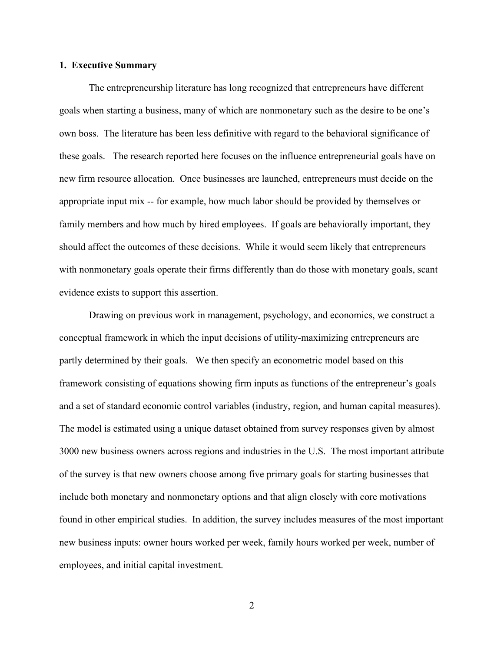#### **1. Executive Summary**

The entrepreneurship literature has long recognized that entrepreneurs have different goals when starting a business, many of which are nonmonetary such as the desire to be one's own boss. The literature has been less definitive with regard to the behavioral significance of these goals. The research reported here focuses on the influence entrepreneurial goals have on new firm resource allocation. Once businesses are launched, entrepreneurs must decide on the appropriate input mix -- for example, how much labor should be provided by themselves or family members and how much by hired employees. If goals are behaviorally important, they should affect the outcomes of these decisions. While it would seem likely that entrepreneurs with nonmonetary goals operate their firms differently than do those with monetary goals, scant evidence exists to support this assertion.

Drawing on previous work in management, psychology, and economics, we construct a conceptual framework in which the input decisions of utility-maximizing entrepreneurs are partly determined by their goals. We then specify an econometric model based on this framework consisting of equations showing firm inputs as functions of the entrepreneur's goals and a set of standard economic control variables (industry, region, and human capital measures). The model is estimated using a unique dataset obtained from survey responses given by almost 3000 new business owners across regions and industries in the U.S. The most important attribute of the survey is that new owners choose among five primary goals for starting businesses that include both monetary and nonmonetary options and that align closely with core motivations found in other empirical studies. In addition, the survey includes measures of the most important new business inputs: owner hours worked per week, family hours worked per week, number of employees, and initial capital investment.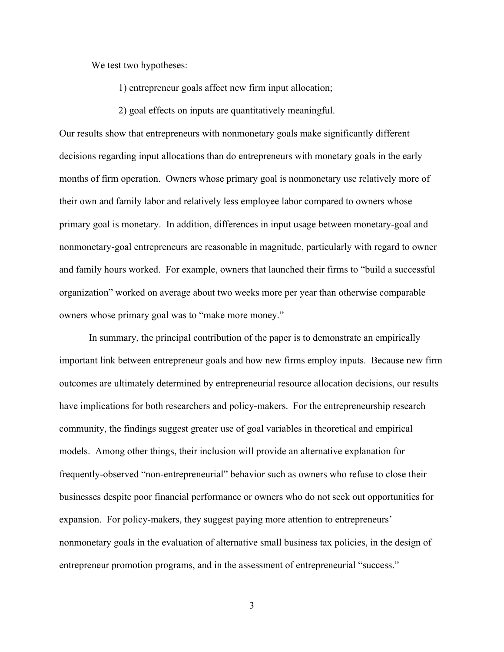We test two hypotheses:

1) entrepreneur goals affect new firm input allocation;

2) goal effects on inputs are quantitatively meaningful.

Our results show that entrepreneurs with nonmonetary goals make significantly different decisions regarding input allocations than do entrepreneurs with monetary goals in the early months of firm operation. Owners whose primary goal is nonmonetary use relatively more of their own and family labor and relatively less employee labor compared to owners whose primary goal is monetary. In addition, differences in input usage between monetary-goal and nonmonetary-goal entrepreneurs are reasonable in magnitude, particularly with regard to owner and family hours worked. For example, owners that launched their firms to "build a successful organization" worked on average about two weeks more per year than otherwise comparable owners whose primary goal was to "make more money."

In summary, the principal contribution of the paper is to demonstrate an empirically important link between entrepreneur goals and how new firms employ inputs. Because new firm outcomes are ultimately determined by entrepreneurial resource allocation decisions, our results have implications for both researchers and policy-makers. For the entrepreneurship research community, the findings suggest greater use of goal variables in theoretical and empirical models. Among other things, their inclusion will provide an alternative explanation for frequently-observed "non-entrepreneurial" behavior such as owners who refuse to close their businesses despite poor financial performance or owners who do not seek out opportunities for expansion. For policy-makers, they suggest paying more attention to entrepreneurs' nonmonetary goals in the evaluation of alternative small business tax policies, in the design of entrepreneur promotion programs, and in the assessment of entrepreneurial "success."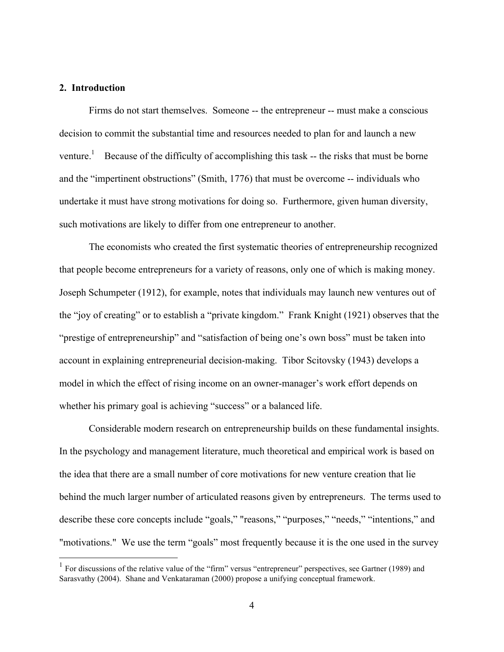## **2. Introduction**

Firms do not start themselves. Someone -- the entrepreneur -- must make a conscious decision to commit the substantial time and resources needed to plan for and launch a new venture.<sup>1</sup> Because of the difficulty of accomplishing this task  $-$  the risks that must be borne and the "impertinent obstructions" (Smith, 1776) that must be overcome -- individuals who undertake it must have strong motivations for doing so. Furthermore, given human diversity, such motivations are likely to differ from one entrepreneur to another.

The economists who created the first systematic theories of entrepreneurship recognized that people become entrepreneurs for a variety of reasons, only one of which is making money. Joseph Schumpeter (1912), for example, notes that individuals may launch new ventures out of the "joy of creating" or to establish a "private kingdom." Frank Knight (1921) observes that the "prestige of entrepreneurship" and "satisfaction of being one's own boss" must be taken into account in explaining entrepreneurial decision-making. Tibor Scitovsky (1943) develops a model in which the effect of rising income on an owner-manager's work effort depends on whether his primary goal is achieving "success" or a balanced life.

Considerable modern research on entrepreneurship builds on these fundamental insights. In the psychology and management literature, much theoretical and empirical work is based on the idea that there are a small number of core motivations for new venture creation that lie behind the much larger number of articulated reasons given by entrepreneurs. The terms used to describe these core concepts include "goals," "reasons," "purposes," "needs," "intentions," and "motivations." We use the term "goals" most frequently because it is the one used in the survey

<sup>&</sup>lt;sup>1</sup> For discussions of the relative value of the "firm" versus "entrepreneur" perspectives, see Gartner (1989) and Sarasvathy (2004). Shane and Venkataraman (2000) propose a unifying conceptual framework.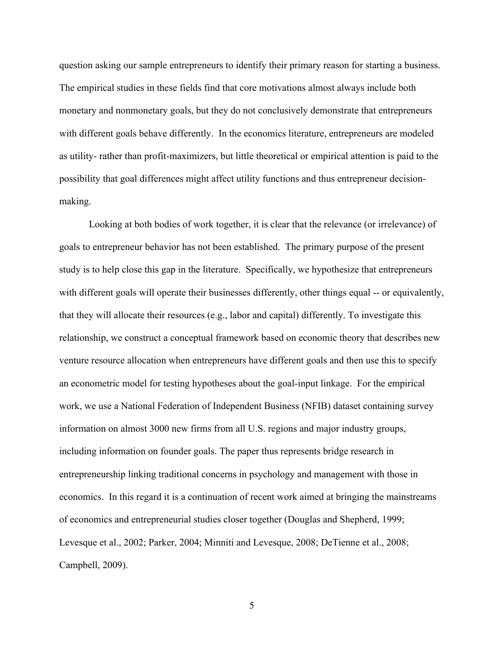question asking our sample entrepreneurs to identify their primary reason for starting a business. The empirical studies in these fields find that core motivations almost always include both monetary and nonmonetary goals, but they do not conclusively demonstrate that entrepreneurs with different goals behave differently. In the economics literature, entrepreneurs are modeled as utility- rather than profit-maximizers, but little theoretical or empirical attention is paid to the possibility that goal differences might affect utility functions and thus entrepreneur decisionmaking.

Looking at both bodies of work together, it is clear that the relevance (or irrelevance) of goals to entrepreneur behavior has not been established. The primary purpose of the present study is to help close this gap in the literature. Specifically, we hypothesize that entrepreneurs with different goals will operate their businesses differently, other things equal -- or equivalently, that they will allocate their resources (e.g., labor and capital) differently. To investigate this relationship, we construct a conceptual framework based on economic theory that describes new venture resource allocation when entrepreneurs have different goals and then use this to specify an econometric model for testing hypotheses about the goal-input linkage. For the empirical work, we use a National Federation of Independent Business (NFIB) dataset containing survey information on almost 3000 new firms from all U.S. regions and major industry groups, including information on founder goals. The paper thus represents bridge research in entrepreneurship linking traditional concerns in psychology and management with those in economics. In this regard it is a continuation of recent work aimed at bringing the mainstreams of economics and entrepreneurial studies closer together (Douglas and Shepherd, 1999; Levesque et al., 2002; Parker, 2004; Minniti and Levesque, 2008; DeTienne et al., 2008; Campbell, 2009).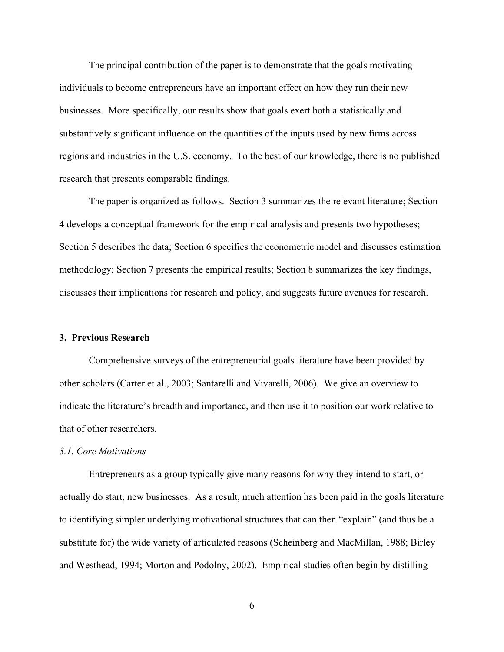The principal contribution of the paper is to demonstrate that the goals motivating individuals to become entrepreneurs have an important effect on how they run their new businesses. More specifically, our results show that goals exert both a statistically and substantively significant influence on the quantities of the inputs used by new firms across regions and industries in the U.S. economy. To the best of our knowledge, there is no published research that presents comparable findings.

The paper is organized as follows. Section 3 summarizes the relevant literature; Section 4 develops a conceptual framework for the empirical analysis and presents two hypotheses; Section 5 describes the data; Section 6 specifies the econometric model and discusses estimation methodology; Section 7 presents the empirical results; Section 8 summarizes the key findings, discusses their implications for research and policy, and suggests future avenues for research.

## **3. Previous Research**

Comprehensive surveys of the entrepreneurial goals literature have been provided by other scholars (Carter et al., 2003; Santarelli and Vivarelli, 2006). We give an overview to indicate the literature's breadth and importance, and then use it to position our work relative to that of other researchers.

#### *3.1. Core Motivations*

Entrepreneurs as a group typically give many reasons for why they intend to start, or actually do start, new businesses. As a result, much attention has been paid in the goals literature to identifying simpler underlying motivational structures that can then "explain" (and thus be a substitute for) the wide variety of articulated reasons (Scheinberg and MacMillan, 1988; Birley and Westhead, 1994; Morton and Podolny, 2002). Empirical studies often begin by distilling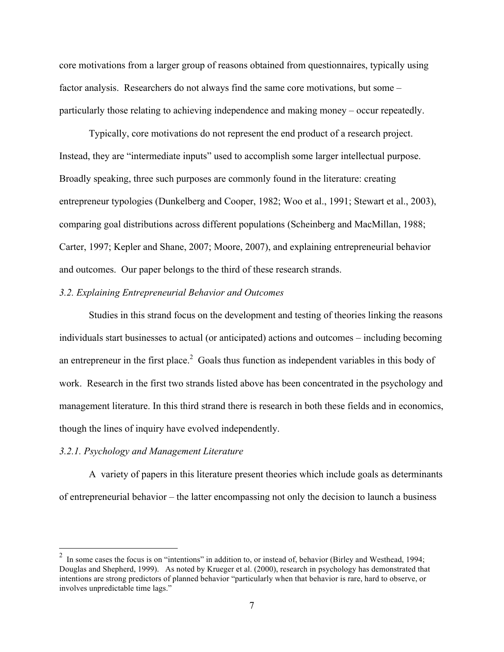core motivations from a larger group of reasons obtained from questionnaires, typically using factor analysis. Researchers do not always find the same core motivations, but some – particularly those relating to achieving independence and making money – occur repeatedly.

Typically, core motivations do not represent the end product of a research project. Instead, they are "intermediate inputs" used to accomplish some larger intellectual purpose. Broadly speaking, three such purposes are commonly found in the literature: creating entrepreneur typologies (Dunkelberg and Cooper, 1982; Woo et al., 1991; Stewart et al., 2003), comparing goal distributions across different populations (Scheinberg and MacMillan, 1988; Carter, 1997; Kepler and Shane, 2007; Moore, 2007), and explaining entrepreneurial behavior and outcomes. Our paper belongs to the third of these research strands.

#### *3.2. Explaining Entrepreneurial Behavior and Outcomes*

Studies in this strand focus on the development and testing of theories linking the reasons individuals start businesses to actual (or anticipated) actions and outcomes – including becoming an entrepreneur in the first place.<sup>2</sup> Goals thus function as independent variables in this body of work. Research in the first two strands listed above has been concentrated in the psychology and management literature. In this third strand there is research in both these fields and in economics, though the lines of inquiry have evolved independently.

## *3.2.1. Psychology and Management Literature*

A variety of papers in this literature present theories which include goals as determinants of entrepreneurial behavior – the latter encompassing not only the decision to launch a business

<sup>&</sup>lt;sup>2</sup> In some cases the focus is on "intentions" in addition to, or instead of, behavior (Birley and Westhead, 1994; Douglas and Shepherd, 1999). As noted by Krueger et al. (2000), research in psychology has demonstrated that intentions are strong predictors of planned behavior "particularly when that behavior is rare, hard to observe, or involves unpredictable time lags."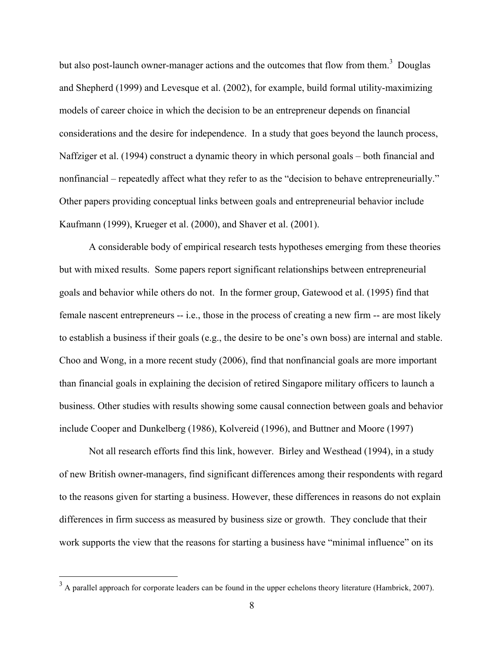but also post-launch owner-manager actions and the outcomes that flow from them.<sup>3</sup> Douglas and Shepherd (1999) and Levesque et al. (2002), for example, build formal utility-maximizing models of career choice in which the decision to be an entrepreneur depends on financial considerations and the desire for independence. In a study that goes beyond the launch process, Naffziger et al. (1994) construct a dynamic theory in which personal goals – both financial and nonfinancial – repeatedly affect what they refer to as the "decision to behave entrepreneurially." Other papers providing conceptual links between goals and entrepreneurial behavior include Kaufmann (1999), Krueger et al. (2000), and Shaver et al. (2001).

A considerable body of empirical research tests hypotheses emerging from these theories but with mixed results. Some papers report significant relationships between entrepreneurial goals and behavior while others do not. In the former group, Gatewood et al. (1995) find that female nascent entrepreneurs -- i.e., those in the process of creating a new firm -- are most likely to establish a business if their goals (e.g., the desire to be one's own boss) are internal and stable. Choo and Wong, in a more recent study (2006), find that nonfinancial goals are more important than financial goals in explaining the decision of retired Singapore military officers to launch a business. Other studies with results showing some causal connection between goals and behavior include Cooper and Dunkelberg (1986), Kolvereid (1996), and Buttner and Moore (1997)

Not all research efforts find this link, however. Birley and Westhead (1994), in a study of new British owner-managers, find significant differences among their respondents with regard to the reasons given for starting a business. However, these differences in reasons do not explain differences in firm success as measured by business size or growth. They conclude that their work supports the view that the reasons for starting a business have "minimal influence" on its

 $3$  A parallel approach for corporate leaders can be found in the upper echelons theory literature (Hambrick, 2007).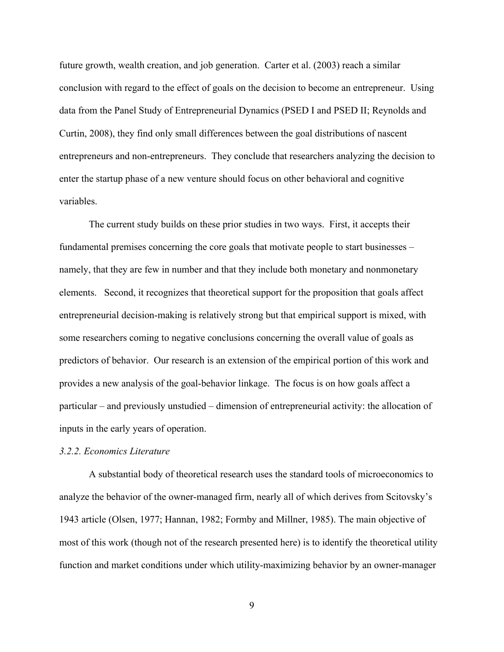future growth, wealth creation, and job generation. Carter et al. (2003) reach a similar conclusion with regard to the effect of goals on the decision to become an entrepreneur. Using data from the Panel Study of Entrepreneurial Dynamics (PSED I and PSED II; Reynolds and Curtin, 2008), they find only small differences between the goal distributions of nascent entrepreneurs and non-entrepreneurs. They conclude that researchers analyzing the decision to enter the startup phase of a new venture should focus on other behavioral and cognitive variables.

The current study builds on these prior studies in two ways. First, it accepts their fundamental premises concerning the core goals that motivate people to start businesses – namely, that they are few in number and that they include both monetary and nonmonetary elements. Second, it recognizes that theoretical support for the proposition that goals affect entrepreneurial decision-making is relatively strong but that empirical support is mixed, with some researchers coming to negative conclusions concerning the overall value of goals as predictors of behavior. Our research is an extension of the empirical portion of this work and provides a new analysis of the goal-behavior linkage. The focus is on how goals affect a particular – and previously unstudied – dimension of entrepreneurial activity: the allocation of inputs in the early years of operation.

## *3.2.2. Economics Literature*

A substantial body of theoretical research uses the standard tools of microeconomics to analyze the behavior of the owner-managed firm, nearly all of which derives from Scitovsky's 1943 article (Olsen, 1977; Hannan, 1982; Formby and Millner, 1985). The main objective of most of this work (though not of the research presented here) is to identify the theoretical utility function and market conditions under which utility-maximizing behavior by an owner-manager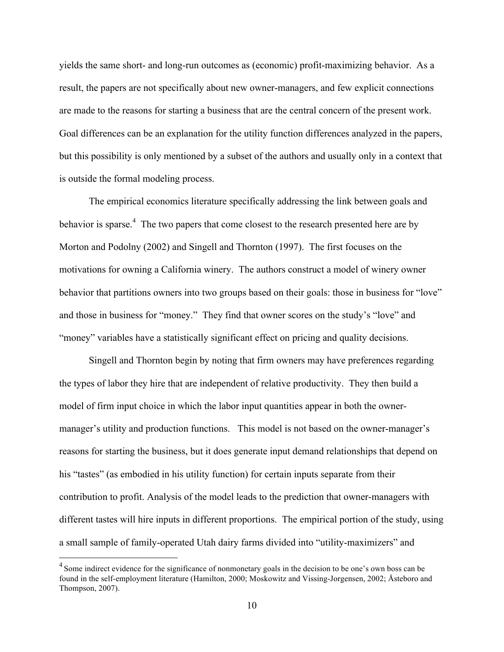yields the same short- and long-run outcomes as (economic) profit-maximizing behavior. As a result, the papers are not specifically about new owner-managers, and few explicit connections are made to the reasons for starting a business that are the central concern of the present work. Goal differences can be an explanation for the utility function differences analyzed in the papers, but this possibility is only mentioned by a subset of the authors and usually only in a context that is outside the formal modeling process.

The empirical economics literature specifically addressing the link between goals and behavior is sparse.<sup>4</sup> The two papers that come closest to the research presented here are by Morton and Podolny (2002) and Singell and Thornton (1997). The first focuses on the motivations for owning a California winery. The authors construct a model of winery owner behavior that partitions owners into two groups based on their goals: those in business for "love" and those in business for "money." They find that owner scores on the study's "love" and "money" variables have a statistically significant effect on pricing and quality decisions.

Singell and Thornton begin by noting that firm owners may have preferences regarding the types of labor they hire that are independent of relative productivity. They then build a model of firm input choice in which the labor input quantities appear in both the ownermanager's utility and production functions. This model is not based on the owner-manager's reasons for starting the business, but it does generate input demand relationships that depend on his "tastes" (as embodied in his utility function) for certain inputs separate from their contribution to profit. Analysis of the model leads to the prediction that owner-managers with different tastes will hire inputs in different proportions. The empirical portion of the study, using a small sample of family-operated Utah dairy farms divided into "utility-maximizers" and

<sup>&</sup>lt;sup>4</sup> Some indirect evidence for the significance of nonmonetary goals in the decision to be one's own boss can be found in the self-employment literature (Hamilton, 2000; Moskowitz and Vissing-Jorgensen, 2002; Åsteboro and Thompson, 2007).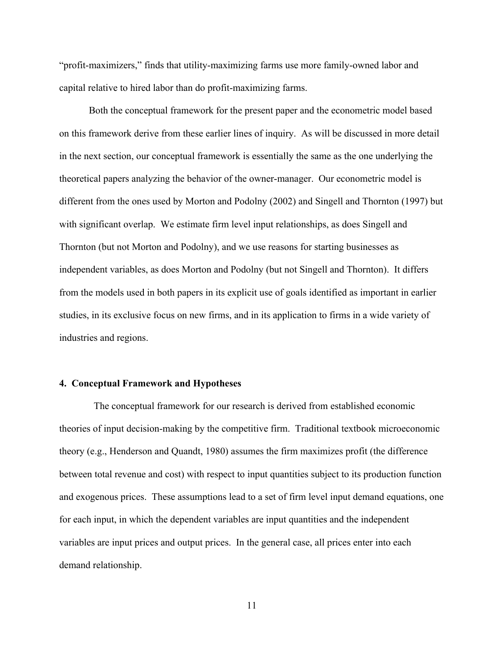"profit-maximizers," finds that utility-maximizing farms use more family-owned labor and capital relative to hired labor than do profit-maximizing farms.

Both the conceptual framework for the present paper and the econometric model based on this framework derive from these earlier lines of inquiry. As will be discussed in more detail in the next section, our conceptual framework is essentially the same as the one underlying the theoretical papers analyzing the behavior of the owner-manager. Our econometric model is different from the ones used by Morton and Podolny (2002) and Singell and Thornton (1997) but with significant overlap. We estimate firm level input relationships, as does Singell and Thornton (but not Morton and Podolny), and we use reasons for starting businesses as independent variables, as does Morton and Podolny (but not Singell and Thornton). It differs from the models used in both papers in its explicit use of goals identified as important in earlier studies, in its exclusive focus on new firms, and in its application to firms in a wide variety of industries and regions.

#### **4. Conceptual Framework and Hypotheses**

 The conceptual framework for our research is derived from established economic theories of input decision-making by the competitive firm. Traditional textbook microeconomic theory (e.g., Henderson and Quandt, 1980) assumes the firm maximizes profit (the difference between total revenue and cost) with respect to input quantities subject to its production function and exogenous prices. These assumptions lead to a set of firm level input demand equations, one for each input, in which the dependent variables are input quantities and the independent variables are input prices and output prices. In the general case, all prices enter into each demand relationship.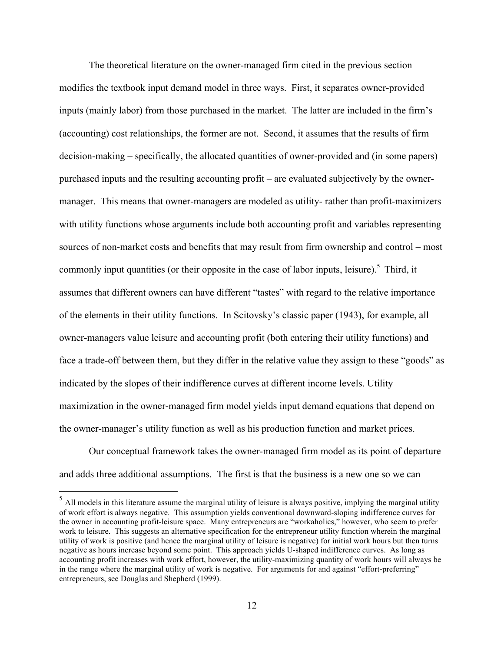The theoretical literature on the owner-managed firm cited in the previous section modifies the textbook input demand model in three ways. First, it separates owner-provided inputs (mainly labor) from those purchased in the market. The latter are included in the firm's (accounting) cost relationships, the former are not. Second, it assumes that the results of firm decision-making – specifically, the allocated quantities of owner-provided and (in some papers) purchased inputs and the resulting accounting profit – are evaluated subjectively by the ownermanager. This means that owner-managers are modeled as utility- rather than profit-maximizers with utility functions whose arguments include both accounting profit and variables representing sources of non-market costs and benefits that may result from firm ownership and control – most commonly input quantities (or their opposite in the case of labor inputs, leisure).<sup>5</sup> Third, it assumes that different owners can have different "tastes" with regard to the relative importance of the elements in their utility functions. In Scitovsky's classic paper (1943), for example, all owner-managers value leisure and accounting profit (both entering their utility functions) and face a trade-off between them, but they differ in the relative value they assign to these "goods" as indicated by the slopes of their indifference curves at different income levels. Utility maximization in the owner-managed firm model yields input demand equations that depend on the owner-manager's utility function as well as his production function and market prices.

Our conceptual framework takes the owner-managed firm model as its point of departure and adds three additional assumptions. The first is that the business is a new one so we can

 $<sup>5</sup>$  All models in this literature assume the marginal utility of leisure is always positive, implying the marginal utility</sup> of work effort is always negative. This assumption yields conventional downward-sloping indifference curves for the owner in accounting profit-leisure space. Many entrepreneurs are "workaholics," however, who seem to prefer work to leisure. This suggests an alternative specification for the entrepreneur utility function wherein the marginal utility of work is positive (and hence the marginal utility of leisure is negative) for initial work hours but then turns negative as hours increase beyond some point. This approach yields U-shaped indifference curves. As long as accounting profit increases with work effort, however, the utility-maximizing quantity of work hours will always be in the range where the marginal utility of work is negative. For arguments for and against "effort-preferring" entrepreneurs, see Douglas and Shepherd (1999).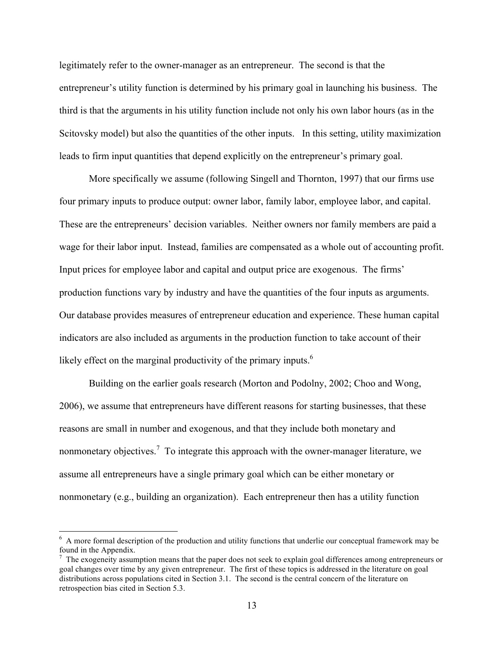legitimately refer to the owner-manager as an entrepreneur. The second is that the entrepreneur's utility function is determined by his primary goal in launching his business. The third is that the arguments in his utility function include not only his own labor hours (as in the Scitovsky model) but also the quantities of the other inputs. In this setting, utility maximization leads to firm input quantities that depend explicitly on the entrepreneur's primary goal.

More specifically we assume (following Singell and Thornton, 1997) that our firms use four primary inputs to produce output: owner labor, family labor, employee labor, and capital. These are the entrepreneurs' decision variables. Neither owners nor family members are paid a wage for their labor input. Instead, families are compensated as a whole out of accounting profit. Input prices for employee labor and capital and output price are exogenous. The firms' production functions vary by industry and have the quantities of the four inputs as arguments. Our database provides measures of entrepreneur education and experience. These human capital indicators are also included as arguments in the production function to take account of their likely effect on the marginal productivity of the primary inputs.<sup>6</sup>

Building on the earlier goals research (Morton and Podolny, 2002; Choo and Wong, 2006), we assume that entrepreneurs have different reasons for starting businesses, that these reasons are small in number and exogenous, and that they include both monetary and nonmonetary objectives.<sup>7</sup> To integrate this approach with the owner-manager literature, we assume all entrepreneurs have a single primary goal which can be either monetary or nonmonetary (e.g., building an organization). Each entrepreneur then has a utility function

 $\frac{1}{6}$  $6\,$  A more formal description of the production and utility functions that underlie our conceptual framework may be found in the Appendix.

 $<sup>7</sup>$  The exogeneity assumption means that the paper does not seek to explain goal differences among entrepreneurs or</sup> goal changes over time by any given entrepreneur. The first of these topics is addressed in the literature on goal distributions across populations cited in Section 3.1. The second is the central concern of the literature on retrospection bias cited in Section 5.3.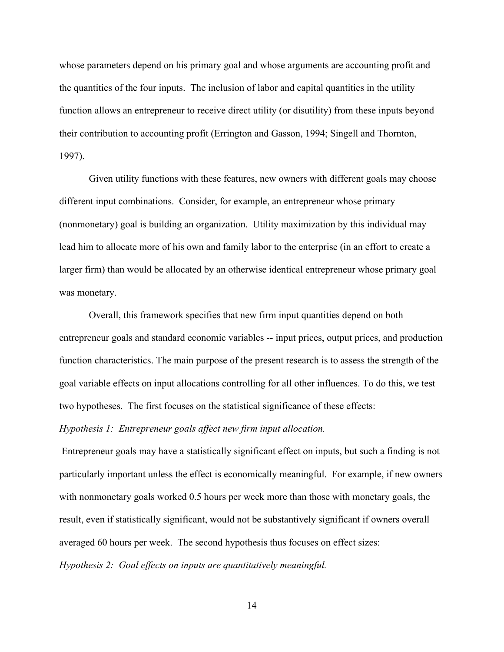whose parameters depend on his primary goal and whose arguments are accounting profit and the quantities of the four inputs. The inclusion of labor and capital quantities in the utility function allows an entrepreneur to receive direct utility (or disutility) from these inputs beyond their contribution to accounting profit (Errington and Gasson, 1994; Singell and Thornton, 1997).

Given utility functions with these features, new owners with different goals may choose different input combinations. Consider, for example, an entrepreneur whose primary (nonmonetary) goal is building an organization. Utility maximization by this individual may lead him to allocate more of his own and family labor to the enterprise (in an effort to create a larger firm) than would be allocated by an otherwise identical entrepreneur whose primary goal was monetary.

Overall, this framework specifies that new firm input quantities depend on both entrepreneur goals and standard economic variables -- input prices, output prices, and production function characteristics. The main purpose of the present research is to assess the strength of the goal variable effects on input allocations controlling for all other influences. To do this, we test two hypotheses. The first focuses on the statistical significance of these effects:

## *Hypothesis 1: Entrepreneur goals affect new firm input allocation.*

Entrepreneur goals may have a statistically significant effect on inputs, but such a finding is not particularly important unless the effect is economically meaningful. For example, if new owners with nonmonetary goals worked 0.5 hours per week more than those with monetary goals, the result, even if statistically significant, would not be substantively significant if owners overall averaged 60 hours per week. The second hypothesis thus focuses on effect sizes: *Hypothesis 2: Goal effects on inputs are quantitatively meaningful.*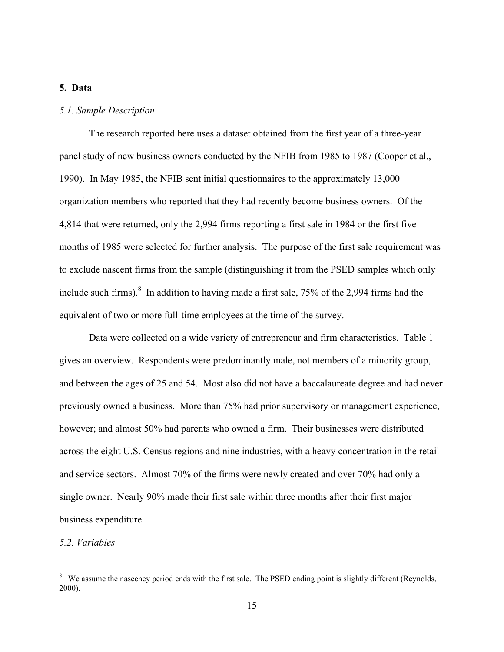## **5. Data**

#### *5.1. Sample Description*

The research reported here uses a dataset obtained from the first year of a three-year panel study of new business owners conducted by the NFIB from 1985 to 1987 (Cooper et al., 1990). In May 1985, the NFIB sent initial questionnaires to the approximately 13,000 organization members who reported that they had recently become business owners. Of the 4,814 that were returned, only the 2,994 firms reporting a first sale in 1984 or the first five months of 1985 were selected for further analysis. The purpose of the first sale requirement was to exclude nascent firms from the sample (distinguishing it from the PSED samples which only include such firms).<sup>8</sup> In addition to having made a first sale,  $75\%$  of the 2,994 firms had the equivalent of two or more full-time employees at the time of the survey.

Data were collected on a wide variety of entrepreneur and firm characteristics. Table 1 gives an overview. Respondents were predominantly male, not members of a minority group, and between the ages of 25 and 54. Most also did not have a baccalaureate degree and had never previously owned a business. More than 75% had prior supervisory or management experience, however; and almost 50% had parents who owned a firm. Their businesses were distributed across the eight U.S. Census regions and nine industries, with a heavy concentration in the retail and service sectors. Almost 70% of the firms were newly created and over 70% had only a single owner. Nearly 90% made their first sale within three months after their first major business expenditure.

## *5.2. Variables*

 <sup>8</sup> <sup>8</sup> We assume the nascency period ends with the first sale. The PSED ending point is slightly different (Reynolds, 2000).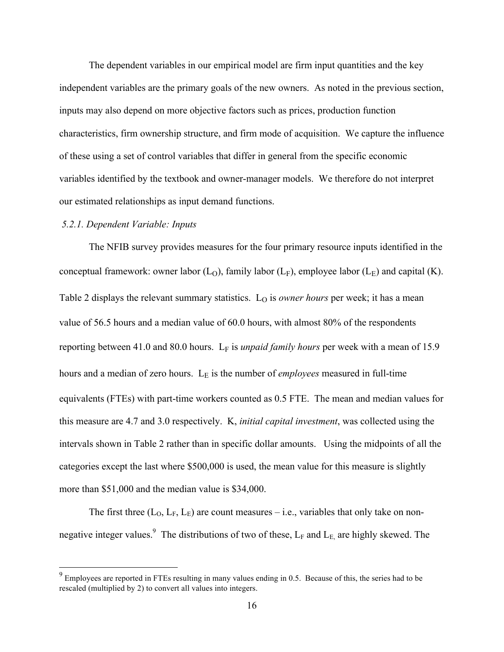The dependent variables in our empirical model are firm input quantities and the key independent variables are the primary goals of the new owners. As noted in the previous section, inputs may also depend on more objective factors such as prices, production function characteristics, firm ownership structure, and firm mode of acquisition. We capture the influence of these using a set of control variables that differ in general from the specific economic variables identified by the textbook and owner-manager models. We therefore do not interpret our estimated relationships as input demand functions.

#### *5.2.1. Dependent Variable: Inputs*

The NFIB survey provides measures for the four primary resource inputs identified in the conceptual framework: owner labor  $(L<sub>O</sub>)$ , family labor  $(L<sub>F</sub>)$ , employee labor  $(L<sub>E</sub>)$  and capital  $(K)$ . Table 2 displays the relevant summary statistics. L<sub>O</sub> is *owner hours* per week; it has a mean value of 56.5 hours and a median value of 60.0 hours, with almost 80% of the respondents reporting between 41.0 and 80.0 hours. L<sub>F</sub> is *unpaid family hours* per week with a mean of 15.9 hours and a median of zero hours. LE is the number of *employees* measured in full-time equivalents (FTEs) with part-time workers counted as 0.5 FTE. The mean and median values for this measure are 4.7 and 3.0 respectively. K, *initial capital investment*, was collected using the intervals shown in Table 2 rather than in specific dollar amounts. Using the midpoints of all the categories except the last where \$500,000 is used, the mean value for this measure is slightly more than \$51,000 and the median value is \$34,000.

The first three  $(L_0, L_F, L_F)$  are count measures – i.e., variables that only take on nonnegative integer values.<sup>9</sup> The distributions of two of these,  $L_F$  and  $L_E$  are highly skewed. The

<sup>&</sup>lt;sup>9</sup> Employees are reported in FTEs resulting in many values ending in 0.5. Because of this, the series had to be rescaled (multiplied by 2) to convert all values into integers.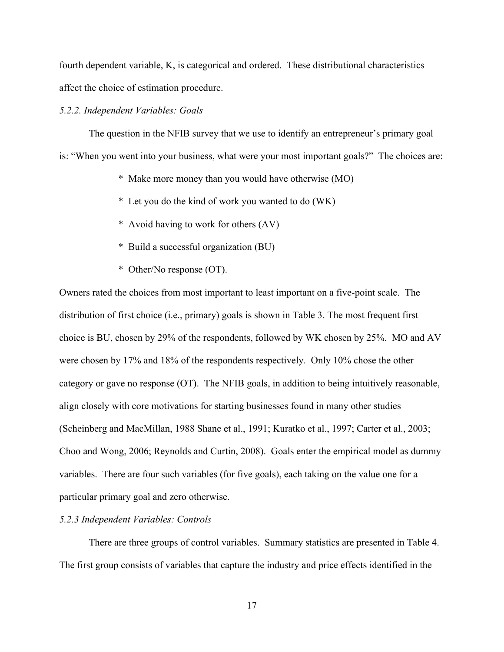fourth dependent variable, K, is categorical and ordered. These distributional characteristics affect the choice of estimation procedure.

## *5.2.2. Independent Variables: Goals*

The question in the NFIB survey that we use to identify an entrepreneur's primary goal is: "When you went into your business, what were your most important goals?" The choices are:

- \* Make more money than you would have otherwise (MO)
- \* Let you do the kind of work you wanted to do (WK)
- \* Avoid having to work for others (AV)
- \* Build a successful organization (BU)
- \* Other/No response (OT).

Owners rated the choices from most important to least important on a five-point scale. The distribution of first choice (i.e., primary) goals is shown in Table 3. The most frequent first choice is BU, chosen by 29% of the respondents, followed by WK chosen by 25%. MO and AV were chosen by 17% and 18% of the respondents respectively. Only 10% chose the other category or gave no response (OT). The NFIB goals, in addition to being intuitively reasonable, align closely with core motivations for starting businesses found in many other studies (Scheinberg and MacMillan, 1988 Shane et al., 1991; Kuratko et al., 1997; Carter et al., 2003; Choo and Wong, 2006; Reynolds and Curtin, 2008). Goals enter the empirical model as dummy variables. There are four such variables (for five goals), each taking on the value one for a particular primary goal and zero otherwise.

## *5.2.3 Independent Variables: Controls*

There are three groups of control variables. Summary statistics are presented in Table 4. The first group consists of variables that capture the industry and price effects identified in the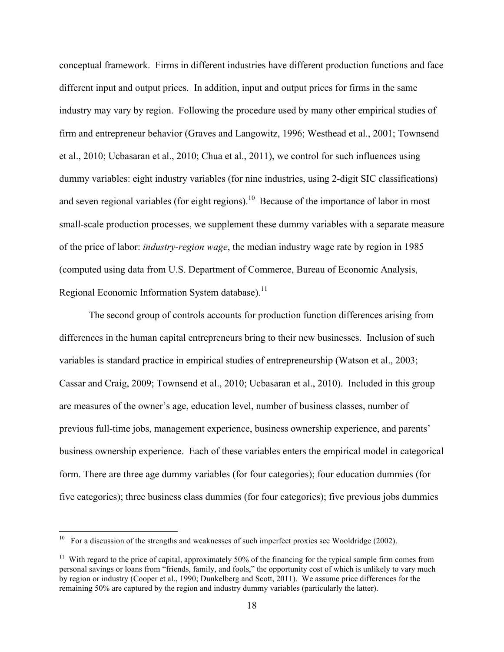conceptual framework. Firms in different industries have different production functions and face different input and output prices. In addition, input and output prices for firms in the same industry may vary by region. Following the procedure used by many other empirical studies of firm and entrepreneur behavior (Graves and Langowitz, 1996; Westhead et al., 2001; Townsend et al., 2010; Ucbasaran et al., 2010; Chua et al., 2011), we control for such influences using dummy variables: eight industry variables (for nine industries, using 2-digit SIC classifications) and seven regional variables (for eight regions).<sup>10</sup> Because of the importance of labor in most small-scale production processes, we supplement these dummy variables with a separate measure of the price of labor: *industry-region wage*, the median industry wage rate by region in 1985 (computed using data from U.S. Department of Commerce, Bureau of Economic Analysis, Regional Economic Information System database). $<sup>11</sup>$ </sup>

The second group of controls accounts for production function differences arising from differences in the human capital entrepreneurs bring to their new businesses. Inclusion of such variables is standard practice in empirical studies of entrepreneurship (Watson et al., 2003; Cassar and Craig, 2009; Townsend et al., 2010; Ucbasaran et al., 2010). Included in this group are measures of the owner's age, education level, number of business classes, number of previous full-time jobs, management experience, business ownership experience, and parents' business ownership experience. Each of these variables enters the empirical model in categorical form. There are three age dummy variables (for four categories); four education dummies (for five categories); three business class dummies (for four categories); five previous jobs dummies

<sup>&</sup>lt;sup>10</sup> For a discussion of the strengths and weaknesses of such imperfect proxies see Wooldridge (2002).

<sup>&</sup>lt;sup>11</sup> With regard to the price of capital, approximately 50% of the financing for the typical sample firm comes from personal savings or loans from "friends, family, and fools," the opportunity cost of which is unlikely to vary much by region or industry (Cooper et al., 1990; Dunkelberg and Scott, 2011). We assume price differences for the remaining 50% are captured by the region and industry dummy variables (particularly the latter).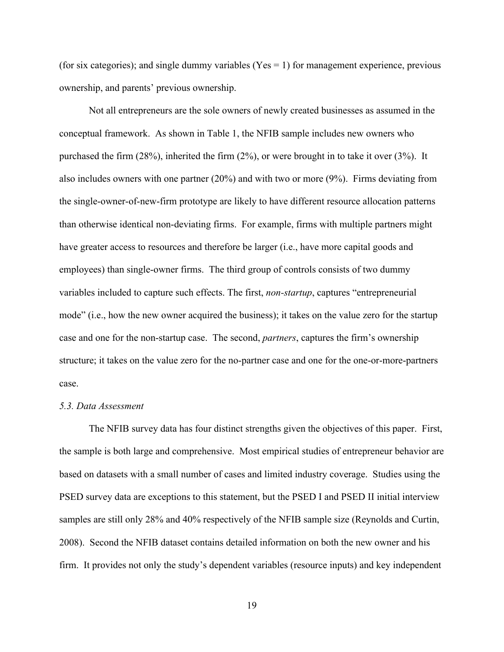(for six categories); and single dummy variables (Yes  $= 1$ ) for management experience, previous ownership, and parents' previous ownership.

Not all entrepreneurs are the sole owners of newly created businesses as assumed in the conceptual framework. As shown in Table 1, the NFIB sample includes new owners who purchased the firm  $(28%)$ , inherited the firm  $(2%)$ , or were brought in to take it over  $(3%)$ . It also includes owners with one partner (20%) and with two or more (9%). Firms deviating from the single-owner-of-new-firm prototype are likely to have different resource allocation patterns than otherwise identical non-deviating firms. For example, firms with multiple partners might have greater access to resources and therefore be larger (i.e., have more capital goods and employees) than single-owner firms. The third group of controls consists of two dummy variables included to capture such effects. The first, *non-startup*, captures "entrepreneurial mode" (i.e., how the new owner acquired the business); it takes on the value zero for the startup case and one for the non-startup case. The second, *partners*, captures the firm's ownership structure; it takes on the value zero for the no-partner case and one for the one-or-more-partners case.

#### *5.3. Data Assessment*

The NFIB survey data has four distinct strengths given the objectives of this paper. First, the sample is both large and comprehensive. Most empirical studies of entrepreneur behavior are based on datasets with a small number of cases and limited industry coverage. Studies using the PSED survey data are exceptions to this statement, but the PSED I and PSED II initial interview samples are still only 28% and 40% respectively of the NFIB sample size (Reynolds and Curtin, 2008). Second the NFIB dataset contains detailed information on both the new owner and his firm. It provides not only the study's dependent variables (resource inputs) and key independent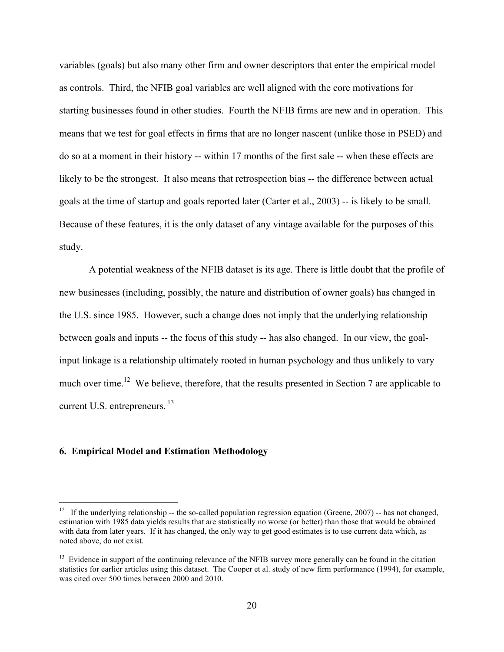variables (goals) but also many other firm and owner descriptors that enter the empirical model as controls. Third, the NFIB goal variables are well aligned with the core motivations for starting businesses found in other studies. Fourth the NFIB firms are new and in operation. This means that we test for goal effects in firms that are no longer nascent (unlike those in PSED) and do so at a moment in their history -- within 17 months of the first sale -- when these effects are likely to be the strongest. It also means that retrospection bias -- the difference between actual goals at the time of startup and goals reported later (Carter et al., 2003) -- is likely to be small. Because of these features, it is the only dataset of any vintage available for the purposes of this study.

A potential weakness of the NFIB dataset is its age. There is little doubt that the profile of new businesses (including, possibly, the nature and distribution of owner goals) has changed in the U.S. since 1985. However, such a change does not imply that the underlying relationship between goals and inputs -- the focus of this study -- has also changed. In our view, the goalinput linkage is a relationship ultimately rooted in human psychology and thus unlikely to vary much over time.<sup>12</sup> We believe, therefore, that the results presented in Section 7 are applicable to current U.S. entrepreneurs.<sup>13</sup>

## **6. Empirical Model and Estimation Methodology**

<sup>&</sup>lt;sup>12</sup> If the underlying relationship -- the so-called population regression equation (Greene, 2007) -- has not changed, estimation with 1985 data yields results that are statistically no worse (or better) than those that would be obtained with data from later years. If it has changed, the only way to get good estimates is to use current data which, as noted above, do not exist.

 $13$  Evidence in support of the continuing relevance of the NFIB survey more generally can be found in the citation statistics for earlier articles using this dataset. The Cooper et al. study of new firm performance (1994), for example, was cited over 500 times between 2000 and 2010.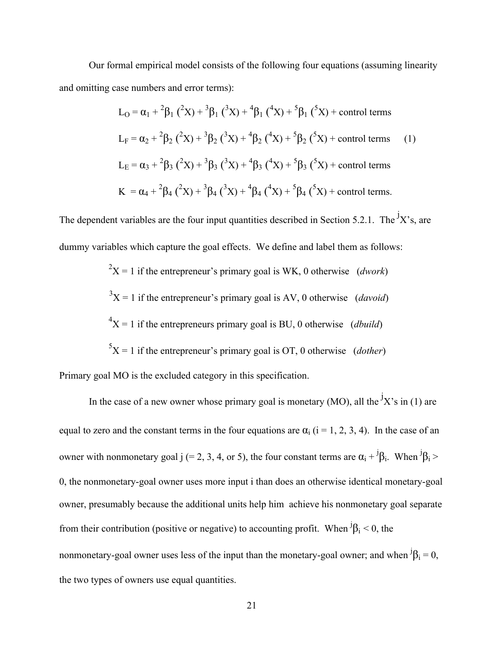Our formal empirical model consists of the following four equations (assuming linearity and omitting case numbers and error terms):

$$
L_0 = \alpha_1 + {}^2\beta_1 ({}^2X) + {}^3\beta_1 ({}^3X) + {}^4\beta_1 ({}^4X) + {}^5\beta_1 ({}^5X) + \text{control terms}
$$
\n
$$
L_F = \alpha_2 + {}^2\beta_2 ({}^2X) + {}^3\beta_2 ({}^3X) + {}^4\beta_2 ({}^4X) + {}^5\beta_2 ({}^5X) + \text{control terms} \qquad (1)
$$
\n
$$
L_E = \alpha_3 + {}^2\beta_3 ({}^2X) + {}^3\beta_3 ({}^3X) + {}^4\beta_3 ({}^4X) + {}^5\beta_3 ({}^5X) + \text{control terms}
$$
\n
$$
K = \alpha_4 + {}^2\beta_4 ({}^2X) + {}^3\beta_4 ({}^3X) + {}^4\beta_4 ({}^4X) + {}^5\beta_4 ({}^5X) + \text{control terms}.
$$

The dependent variables are the four input quantities described in Section 5.2.1. The  $\dot{X}$ 's, are dummy variables which capture the goal effects. We define and label them as follows:

 <sup>2</sup> X = 1 if the entrepreneur's primary goal is WK, 0 otherwise (*dwork*) 3 X = 1 if the entrepreneur's primary goal is AV, 0 otherwise (*davoid*) <sup>4</sup> X = 1 if the entrepreneurs primary goal is BU, 0 otherwise (*dbuild*) <sup>5</sup> X = 1 if the entrepreneur's primary goal is OT, 0 otherwise (*dother*)

Primary goal MO is the excluded category in this specification.

In the case of a new owner whose primary goal is monetary (MO), all the  ${}^{j}X$ 's in (1) are equal to zero and the constant terms in the four equations are  $\alpha_i$  (i = 1, 2, 3, 4). In the case of an owner with nonmonetary goal j (= 2, 3, 4, or 5), the four constant terms are  $\alpha_i$  +  $^j\beta_i$ . When  $^j\beta_i$  > 0, the nonmonetary-goal owner uses more input i than does an otherwise identical monetary-goal owner, presumably because the additional units help him achieve his nonmonetary goal separate from their contribution (positive or negative) to accounting profit. When  ${}^{j}β_{i} < 0$ , the nonmonetary-goal owner uses less of the input than the monetary-goal owner; and when  ${}^{j}β_{i} = 0$ , the two types of owners use equal quantities.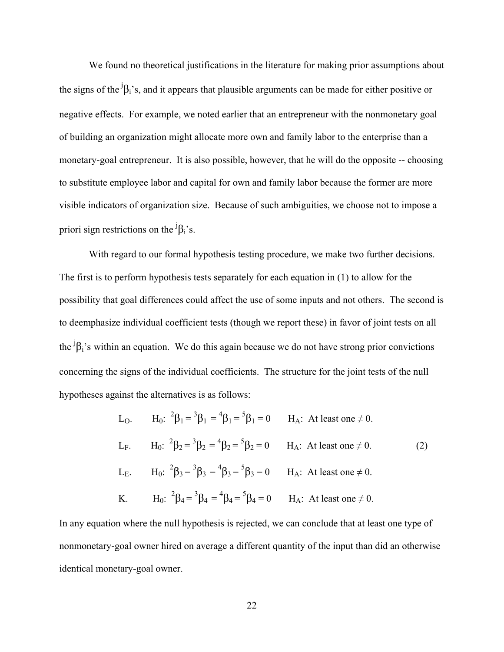We found no theoretical justifications in the literature for making prior assumptions about the signs of the  ${}^{j} \beta_i$ 's, and it appears that plausible arguments can be made for either positive or negative effects. For example, we noted earlier that an entrepreneur with the nonmonetary goal of building an organization might allocate more own and family labor to the enterprise than a monetary-goal entrepreneur. It is also possible, however, that he will do the opposite -- choosing to substitute employee labor and capital for own and family labor because the former are more visible indicators of organization size. Because of such ambiguities, we choose not to impose a priori sign restrictions on the  ${}^{j}β_{i}$ 's.

With regard to our formal hypothesis testing procedure, we make two further decisions. The first is to perform hypothesis tests separately for each equation in (1) to allow for the possibility that goal differences could affect the use of some inputs and not others. The second is to deemphasize individual coefficient tests (though we report these) in favor of joint tests on all the  ${}^{j}β_{i}$ 's within an equation. We do this again because we do not have strong prior convictions concerning the signs of the individual coefficients. The structure for the joint tests of the null hypotheses against the alternatives is as follows:

L<sub>O</sub>. H<sub>0</sub>: 
$$
{}^{2}\beta_{1} = {}^{3}\beta_{1} = {}^{4}\beta_{1} = {}^{5}\beta_{1} = 0
$$
 H<sub>A</sub>: At least one  $\neq 0$ .  
\nL<sub>F</sub>. H<sub>0</sub>:  ${}^{2}\beta_{2} = {}^{3}\beta_{2} = {}^{4}\beta_{2} = {}^{5}\beta_{2} = 0$  H<sub>A</sub>: At least one  $\neq 0$ . (2)  
\nL<sub>E</sub>. H<sub>0</sub>:  ${}^{2}\beta_{3} = {}^{3}\beta_{3} = {}^{4}\beta_{3} = {}^{5}\beta_{3} = 0$  H<sub>A</sub>: At least one  $\neq 0$ .  
\nK. H<sub>0</sub>:  ${}^{2}\beta_{4} = {}^{3}\beta_{4} = {}^{4}\beta_{4} = {}^{5}\beta_{4} = 0$  H<sub>A</sub>: At least one  $\neq 0$ .

In any equation where the null hypothesis is rejected, we can conclude that at least one type of nonmonetary-goal owner hired on average a different quantity of the input than did an otherwise identical monetary-goal owner.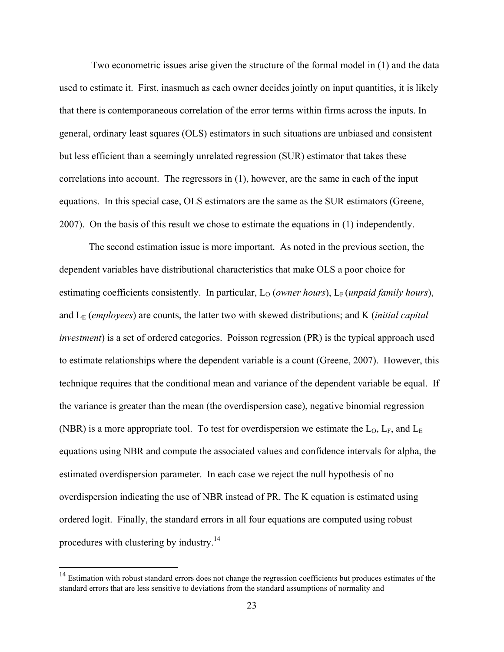Two econometric issues arise given the structure of the formal model in (1) and the data used to estimate it. First, inasmuch as each owner decides jointly on input quantities, it is likely that there is contemporaneous correlation of the error terms within firms across the inputs. In general, ordinary least squares (OLS) estimators in such situations are unbiased and consistent but less efficient than a seemingly unrelated regression (SUR) estimator that takes these correlations into account. The regressors in (1), however, are the same in each of the input equations. In this special case, OLS estimators are the same as the SUR estimators (Greene, 2007). On the basis of this result we chose to estimate the equations in (1) independently.

The second estimation issue is more important. As noted in the previous section, the dependent variables have distributional characteristics that make OLS a poor choice for estimating coefficients consistently. In particular,  $L_0$  (*owner hours*),  $L_F$  (*unpaid family hours*), and LE (*employees*) are counts, the latter two with skewed distributions; and K (*initial capital investment*) is a set of ordered categories. Poisson regression (PR) is the typical approach used to estimate relationships where the dependent variable is a count (Greene, 2007). However, this technique requires that the conditional mean and variance of the dependent variable be equal. If the variance is greater than the mean (the overdispersion case), negative binomial regression (NBR) is a more appropriate tool. To test for overdispersion we estimate the  $L_0$ ,  $L_F$ , and  $L_E$ equations using NBR and compute the associated values and confidence intervals for alpha, the estimated overdispersion parameter. In each case we reject the null hypothesis of no overdispersion indicating the use of NBR instead of PR. The K equation is estimated using ordered logit. Finally, the standard errors in all four equations are computed using robust procedures with clustering by industry.<sup>14</sup>

<sup>&</sup>lt;sup>14</sup> Estimation with robust standard errors does not change the regression coefficients but produces estimates of the standard errors that are less sensitive to deviations from the standard assumptions of normality and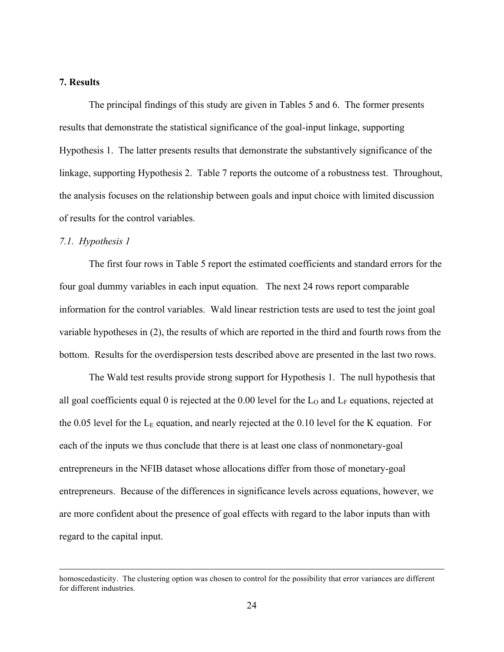## **7. Results**

The principal findings of this study are given in Tables 5 and 6. The former presents results that demonstrate the statistical significance of the goal-input linkage, supporting Hypothesis 1. The latter presents results that demonstrate the substantively significance of the linkage, supporting Hypothesis 2. Table 7 reports the outcome of a robustness test. Throughout, the analysis focuses on the relationship between goals and input choice with limited discussion of results for the control variables.

#### *7.1. Hypothesis 1*

The first four rows in Table 5 report the estimated coefficients and standard errors for the four goal dummy variables in each input equation. The next 24 rows report comparable information for the control variables. Wald linear restriction tests are used to test the joint goal variable hypotheses in (2), the results of which are reported in the third and fourth rows from the bottom. Results for the overdispersion tests described above are presented in the last two rows.

The Wald test results provide strong support for Hypothesis 1. The null hypothesis that all goal coefficients equal 0 is rejected at the 0.00 level for the  $L_0$  and  $L_F$  equations, rejected at the 0.05 level for the  $L<sub>E</sub>$  equation, and nearly rejected at the 0.10 level for the K equation. For each of the inputs we thus conclude that there is at least one class of nonmonetary-goal entrepreneurs in the NFIB dataset whose allocations differ from those of monetary-goal entrepreneurs. Because of the differences in significance levels across equations, however, we are more confident about the presence of goal effects with regard to the labor inputs than with regard to the capital input.

homoscedasticity. The clustering option was chosen to control for the possibility that error variances are different for different industries.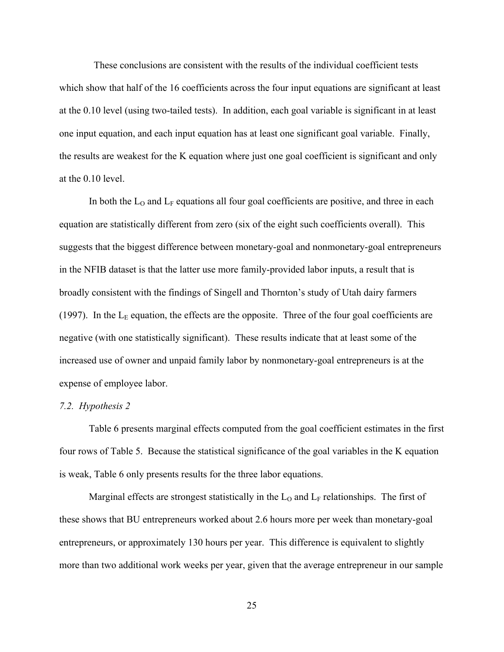These conclusions are consistent with the results of the individual coefficient tests which show that half of the 16 coefficients across the four input equations are significant at least at the 0.10 level (using two-tailed tests). In addition, each goal variable is significant in at least one input equation, and each input equation has at least one significant goal variable. Finally, the results are weakest for the K equation where just one goal coefficient is significant and only at the 0.10 level.

In both the  $L_0$  and  $L_F$  equations all four goal coefficients are positive, and three in each equation are statistically different from zero (six of the eight such coefficients overall). This suggests that the biggest difference between monetary-goal and nonmonetary-goal entrepreneurs in the NFIB dataset is that the latter use more family-provided labor inputs, a result that is broadly consistent with the findings of Singell and Thornton's study of Utah dairy farmers (1997). In the  $L_E$  equation, the effects are the opposite. Three of the four goal coefficients are negative (with one statistically significant). These results indicate that at least some of the increased use of owner and unpaid family labor by nonmonetary-goal entrepreneurs is at the expense of employee labor.

### *7.2. Hypothesis 2*

Table 6 presents marginal effects computed from the goal coefficient estimates in the first four rows of Table 5. Because the statistical significance of the goal variables in the K equation is weak, Table 6 only presents results for the three labor equations.

Marginal effects are strongest statistically in the  $L_0$  and  $L_F$  relationships. The first of these shows that BU entrepreneurs worked about 2.6 hours more per week than monetary-goal entrepreneurs, or approximately 130 hours per year. This difference is equivalent to slightly more than two additional work weeks per year, given that the average entrepreneur in our sample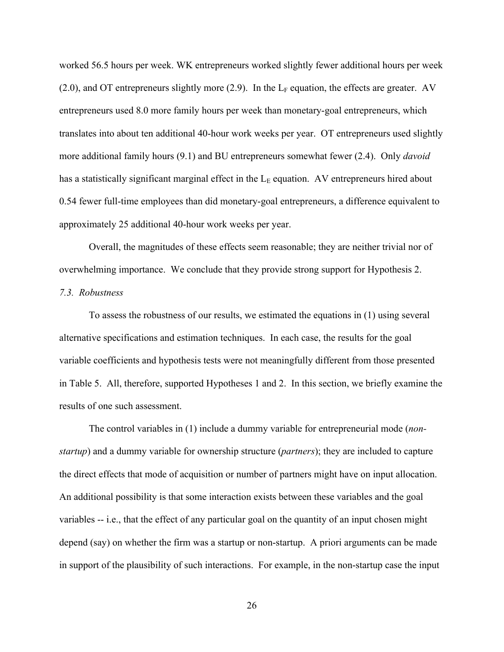worked 56.5 hours per week. WK entrepreneurs worked slightly fewer additional hours per week  $(2.0)$ , and OT entrepreneurs slightly more  $(2.9)$ . In the L<sub>F</sub> equation, the effects are greater. AV entrepreneurs used 8.0 more family hours per week than monetary-goal entrepreneurs, which translates into about ten additional 40-hour work weeks per year. OT entrepreneurs used slightly more additional family hours (9.1) and BU entrepreneurs somewhat fewer (2.4). Only *davoid* has a statistically significant marginal effect in the  $L<sub>E</sub>$  equation. AV entrepreneurs hired about 0.54 fewer full-time employees than did monetary-goal entrepreneurs, a difference equivalent to approximately 25 additional 40-hour work weeks per year.

Overall, the magnitudes of these effects seem reasonable; they are neither trivial nor of overwhelming importance. We conclude that they provide strong support for Hypothesis 2.

## *7.3. Robustness*

To assess the robustness of our results, we estimated the equations in (1) using several alternative specifications and estimation techniques. In each case, the results for the goal variable coefficients and hypothesis tests were not meaningfully different from those presented in Table 5. All, therefore, supported Hypotheses 1 and 2. In this section, we briefly examine the results of one such assessment.

The control variables in (1) include a dummy variable for entrepreneurial mode (*nonstartup*) and a dummy variable for ownership structure (*partners*); they are included to capture the direct effects that mode of acquisition or number of partners might have on input allocation. An additional possibility is that some interaction exists between these variables and the goal variables -- i.e., that the effect of any particular goal on the quantity of an input chosen might depend (say) on whether the firm was a startup or non-startup. A priori arguments can be made in support of the plausibility of such interactions. For example, in the non-startup case the input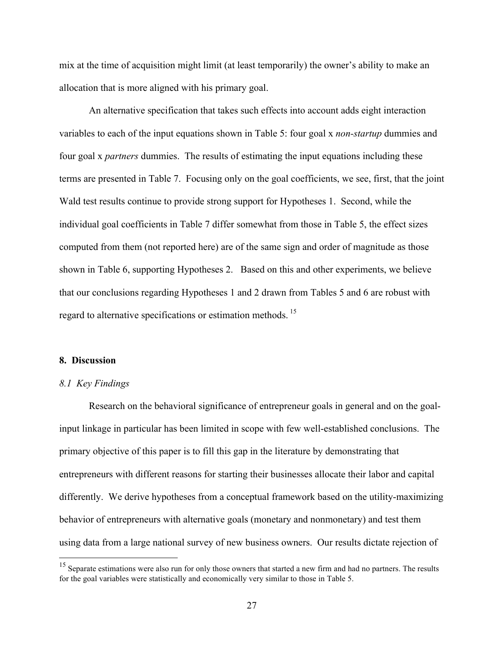mix at the time of acquisition might limit (at least temporarily) the owner's ability to make an allocation that is more aligned with his primary goal.

An alternative specification that takes such effects into account adds eight interaction variables to each of the input equations shown in Table 5: four goal x *non-startup* dummies and four goal x *partners* dummies. The results of estimating the input equations including these terms are presented in Table 7. Focusing only on the goal coefficients, we see, first, that the joint Wald test results continue to provide strong support for Hypotheses 1. Second, while the individual goal coefficients in Table 7 differ somewhat from those in Table 5, the effect sizes computed from them (not reported here) are of the same sign and order of magnitude as those shown in Table 6, supporting Hypotheses 2. Based on this and other experiments, we believe that our conclusions regarding Hypotheses 1 and 2 drawn from Tables 5 and 6 are robust with regard to alternative specifications or estimation methods.<sup>15</sup>

#### **8. Discussion**

#### *8.1 Key Findings*

Research on the behavioral significance of entrepreneur goals in general and on the goalinput linkage in particular has been limited in scope with few well-established conclusions. The primary objective of this paper is to fill this gap in the literature by demonstrating that entrepreneurs with different reasons for starting their businesses allocate their labor and capital differently. We derive hypotheses from a conceptual framework based on the utility-maximizing behavior of entrepreneurs with alternative goals (monetary and nonmonetary) and test them using data from a large national survey of new business owners. Our results dictate rejection of

<sup>&</sup>lt;sup>15</sup> Separate estimations were also run for only those owners that started a new firm and had no partners. The results for the goal variables were statistically and economically very similar to those in Table 5.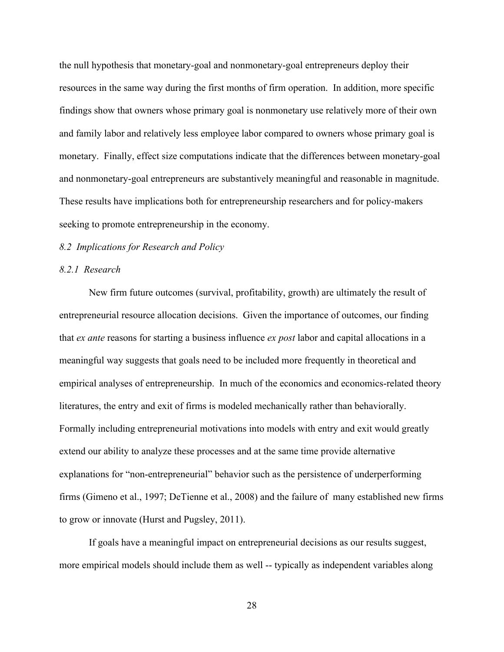the null hypothesis that monetary-goal and nonmonetary-goal entrepreneurs deploy their resources in the same way during the first months of firm operation. In addition, more specific findings show that owners whose primary goal is nonmonetary use relatively more of their own and family labor and relatively less employee labor compared to owners whose primary goal is monetary. Finally, effect size computations indicate that the differences between monetary-goal and nonmonetary-goal entrepreneurs are substantively meaningful and reasonable in magnitude. These results have implications both for entrepreneurship researchers and for policy-makers seeking to promote entrepreneurship in the economy.

## *8.2 Implications for Research and Policy*

## *8.2.1 Research*

New firm future outcomes (survival, profitability, growth) are ultimately the result of entrepreneurial resource allocation decisions. Given the importance of outcomes, our finding that *ex ante* reasons for starting a business influence *ex post* labor and capital allocations in a meaningful way suggests that goals need to be included more frequently in theoretical and empirical analyses of entrepreneurship. In much of the economics and economics-related theory literatures, the entry and exit of firms is modeled mechanically rather than behaviorally. Formally including entrepreneurial motivations into models with entry and exit would greatly extend our ability to analyze these processes and at the same time provide alternative explanations for "non-entrepreneurial" behavior such as the persistence of underperforming firms (Gimeno et al., 1997; DeTienne et al., 2008) and the failure of many established new firms to grow or innovate (Hurst and Pugsley, 2011).

If goals have a meaningful impact on entrepreneurial decisions as our results suggest, more empirical models should include them as well -- typically as independent variables along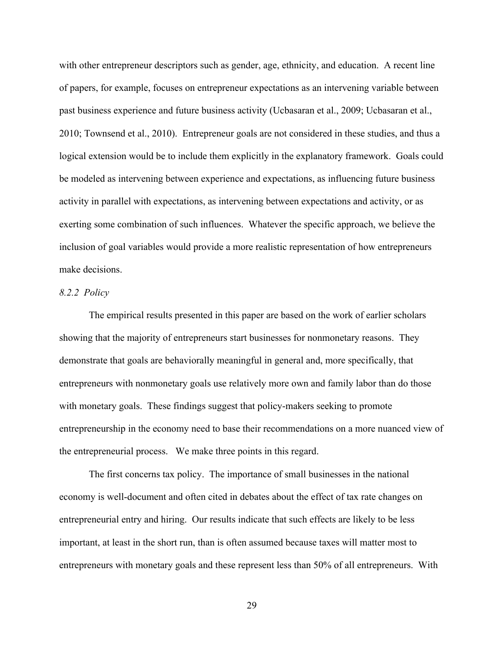with other entrepreneur descriptors such as gender, age, ethnicity, and education. A recent line of papers, for example, focuses on entrepreneur expectations as an intervening variable between past business experience and future business activity (Ucbasaran et al., 2009; Ucbasaran et al., 2010; Townsend et al., 2010). Entrepreneur goals are not considered in these studies, and thus a logical extension would be to include them explicitly in the explanatory framework. Goals could be modeled as intervening between experience and expectations, as influencing future business activity in parallel with expectations, as intervening between expectations and activity, or as exerting some combination of such influences. Whatever the specific approach, we believe the inclusion of goal variables would provide a more realistic representation of how entrepreneurs make decisions.

## *8.2.2 Policy*

The empirical results presented in this paper are based on the work of earlier scholars showing that the majority of entrepreneurs start businesses for nonmonetary reasons. They demonstrate that goals are behaviorally meaningful in general and, more specifically, that entrepreneurs with nonmonetary goals use relatively more own and family labor than do those with monetary goals. These findings suggest that policy-makers seeking to promote entrepreneurship in the economy need to base their recommendations on a more nuanced view of the entrepreneurial process. We make three points in this regard.

The first concerns tax policy. The importance of small businesses in the national economy is well-document and often cited in debates about the effect of tax rate changes on entrepreneurial entry and hiring. Our results indicate that such effects are likely to be less important, at least in the short run, than is often assumed because taxes will matter most to entrepreneurs with monetary goals and these represent less than 50% of all entrepreneurs. With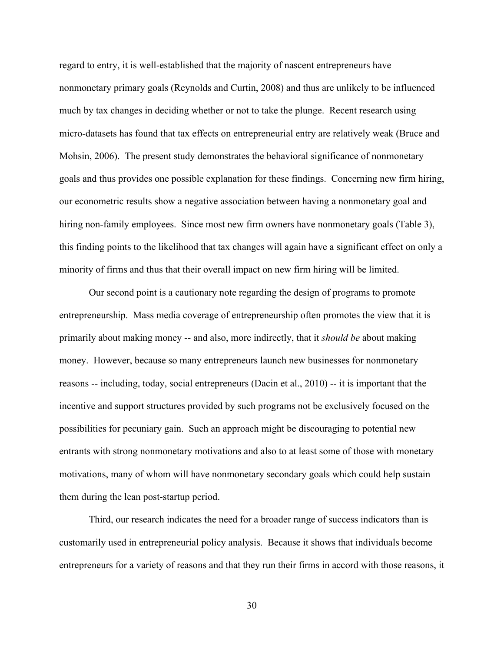regard to entry, it is well-established that the majority of nascent entrepreneurs have nonmonetary primary goals (Reynolds and Curtin, 2008) and thus are unlikely to be influenced much by tax changes in deciding whether or not to take the plunge. Recent research using micro-datasets has found that tax effects on entrepreneurial entry are relatively weak (Bruce and Mohsin, 2006). The present study demonstrates the behavioral significance of nonmonetary goals and thus provides one possible explanation for these findings. Concerning new firm hiring, our econometric results show a negative association between having a nonmonetary goal and hiring non-family employees. Since most new firm owners have nonmonetary goals (Table 3), this finding points to the likelihood that tax changes will again have a significant effect on only a minority of firms and thus that their overall impact on new firm hiring will be limited.

Our second point is a cautionary note regarding the design of programs to promote entrepreneurship. Mass media coverage of entrepreneurship often promotes the view that it is primarily about making money -- and also, more indirectly, that it *should be* about making money. However, because so many entrepreneurs launch new businesses for nonmonetary reasons -- including, today, social entrepreneurs (Dacin et al., 2010) -- it is important that the incentive and support structures provided by such programs not be exclusively focused on the possibilities for pecuniary gain. Such an approach might be discouraging to potential new entrants with strong nonmonetary motivations and also to at least some of those with monetary motivations, many of whom will have nonmonetary secondary goals which could help sustain them during the lean post-startup period.

Third, our research indicates the need for a broader range of success indicators than is customarily used in entrepreneurial policy analysis. Because it shows that individuals become entrepreneurs for a variety of reasons and that they run their firms in accord with those reasons, it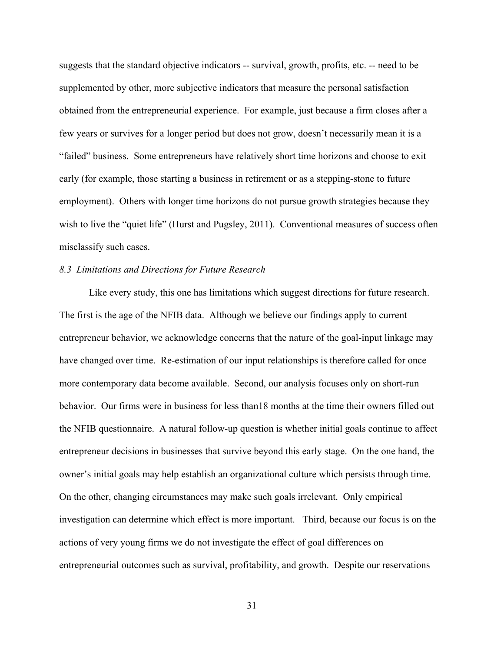suggests that the standard objective indicators -- survival, growth, profits, etc. -- need to be supplemented by other, more subjective indicators that measure the personal satisfaction obtained from the entrepreneurial experience. For example, just because a firm closes after a few years or survives for a longer period but does not grow, doesn't necessarily mean it is a "failed" business. Some entrepreneurs have relatively short time horizons and choose to exit early (for example, those starting a business in retirement or as a stepping-stone to future employment). Others with longer time horizons do not pursue growth strategies because they wish to live the "quiet life" (Hurst and Pugsley, 2011). Conventional measures of success often misclassify such cases.

## *8.3 Limitations and Directions for Future Research*

Like every study, this one has limitations which suggest directions for future research. The first is the age of the NFIB data. Although we believe our findings apply to current entrepreneur behavior, we acknowledge concerns that the nature of the goal-input linkage may have changed over time. Re-estimation of our input relationships is therefore called for once more contemporary data become available. Second, our analysis focuses only on short-run behavior. Our firms were in business for less than18 months at the time their owners filled out the NFIB questionnaire. A natural follow-up question is whether initial goals continue to affect entrepreneur decisions in businesses that survive beyond this early stage. On the one hand, the owner's initial goals may help establish an organizational culture which persists through time. On the other, changing circumstances may make such goals irrelevant. Only empirical investigation can determine which effect is more important. Third, because our focus is on the actions of very young firms we do not investigate the effect of goal differences on entrepreneurial outcomes such as survival, profitability, and growth. Despite our reservations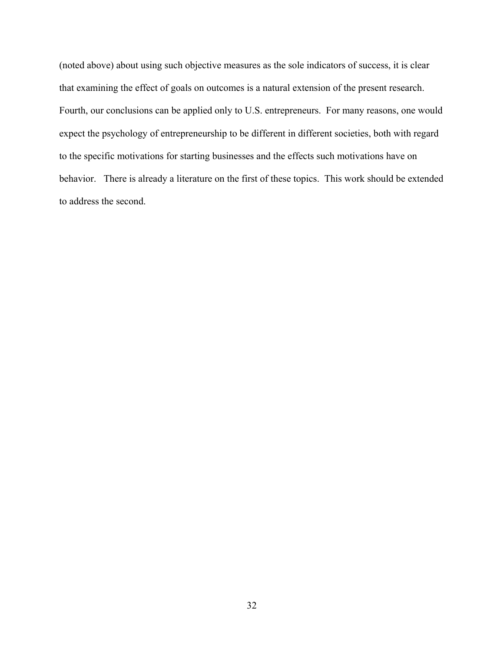(noted above) about using such objective measures as the sole indicators of success, it is clear that examining the effect of goals on outcomes is a natural extension of the present research. Fourth, our conclusions can be applied only to U.S. entrepreneurs. For many reasons, one would expect the psychology of entrepreneurship to be different in different societies, both with regard to the specific motivations for starting businesses and the effects such motivations have on behavior. There is already a literature on the first of these topics. This work should be extended to address the second.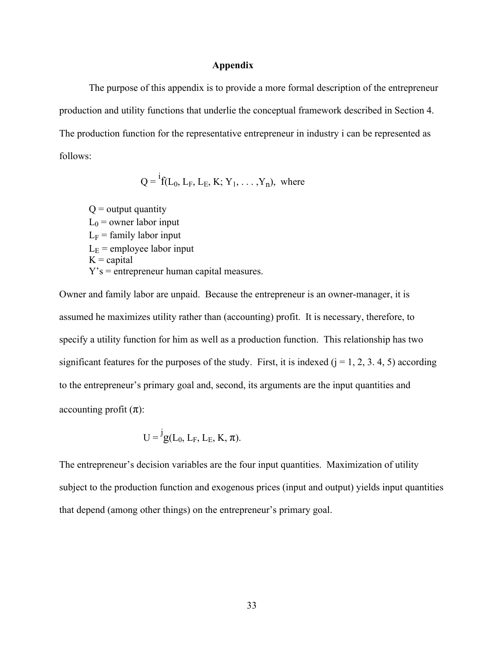#### **Appendix**

The purpose of this appendix is to provide a more formal description of the entrepreneur production and utility functions that underlie the conceptual framework described in Section 4. The production function for the representative entrepreneur in industry i can be represented as follows:

$$
Q = {}^{i}f(L_{0}, L_{F}, L_{E}, K; Y_{1}, \ldots, Y_{n}),
$$
 where

 $Q =$  output quantity  $L_0$  = owner labor input  $L_F$  = family labor input  $L<sub>E</sub>$  = employee labor input  $K =$ capital Y's = entrepreneur human capital measures.

Owner and family labor are unpaid. Because the entrepreneur is an owner-manager, it is assumed he maximizes utility rather than (accounting) profit. It is necessary, therefore, to specify a utility function for him as well as a production function. This relationship has two significant features for the purposes of the study. First, it is indexed  $(j = 1, 2, 3, 4, 5)$  according to the entrepreneur's primary goal and, second, its arguments are the input quantities and accounting profit  $(\pi)$ :

$$
U = {}^j g(L_0, L_F, L_E, K, \pi).
$$

The entrepreneur's decision variables are the four input quantities. Maximization of utility subject to the production function and exogenous prices (input and output) yields input quantities that depend (among other things) on the entrepreneur's primary goal.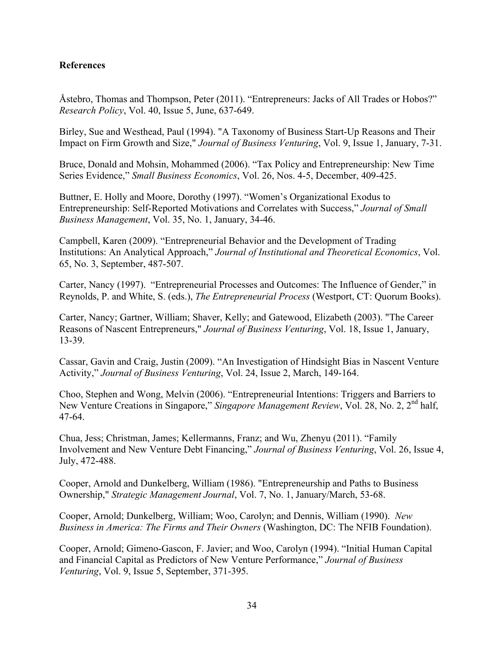## **References**

Åstebro, Thomas and Thompson, Peter (2011). "Entrepreneurs: Jacks of All Trades or Hobos?" *Research Policy*, Vol. 40, Issue 5, June, 637-649.

Birley, Sue and Westhead, Paul (1994). "A Taxonomy of Business Start-Up Reasons and Their Impact on Firm Growth and Size," *Journal of Business Venturing*, Vol. 9, Issue 1, January, 7-31.

Bruce, Donald and Mohsin, Mohammed (2006). "Tax Policy and Entrepreneurship: New Time Series Evidence," *Small Business Economics*, Vol. 26, Nos. 4-5, December, 409-425.

Buttner, E. Holly and Moore, Dorothy (1997). "Women's Organizational Exodus to Entrepreneurship: Self-Reported Motivations and Correlates with Success," *Journal of Small Business Management*, Vol. 35, No. 1, January, 34-46.

Campbell, Karen (2009). "Entrepreneurial Behavior and the Development of Trading Institutions: An Analytical Approach," *Journal of Institutional and Theoretical Economics*, Vol. 65, No. 3, September, 487-507.

Carter, Nancy (1997). "Entrepreneurial Processes and Outcomes: The Influence of Gender," in Reynolds, P. and White, S. (eds.), *The Entrepreneurial Process* (Westport, CT: Quorum Books).

Carter, Nancy; Gartner, William; Shaver, Kelly; and Gatewood, Elizabeth (2003). "The Career Reasons of Nascent Entrepreneurs," *Journal of Business Venturing*, Vol. 18, Issue 1, January, 13-39.

Cassar, Gavin and Craig, Justin (2009). "An Investigation of Hindsight Bias in Nascent Venture Activity," *Journal of Business Venturing*, Vol. 24, Issue 2, March, 149-164.

Choo, Stephen and Wong, Melvin (2006). "Entrepreneurial Intentions: Triggers and Barriers to New Venture Creations in Singapore," *Singapore Management Review*, Vol. 28, No. 2, 2nd half, 47-64.

Chua, Jess; Christman, James; Kellermanns, Franz; and Wu, Zhenyu (2011). "Family Involvement and New Venture Debt Financing," *Journal of Business Venturing*, Vol. 26, Issue 4, July, 472-488.

Cooper, Arnold and Dunkelberg, William (1986). "Entrepreneurship and Paths to Business Ownership," *Strategic Management Journal*, Vol. 7, No. 1, January/March, 53-68.

Cooper, Arnold; Dunkelberg, William; Woo, Carolyn; and Dennis, William (1990). *New Business in America: The Firms and Their Owners* (Washington, DC: The NFIB Foundation).

Cooper, Arnold; Gimeno-Gascon, F. Javier; and Woo, Carolyn (1994). "Initial Human Capital and Financial Capital as Predictors of New Venture Performance," *Journal of Business Venturing*, Vol. 9, Issue 5, September, 371-395.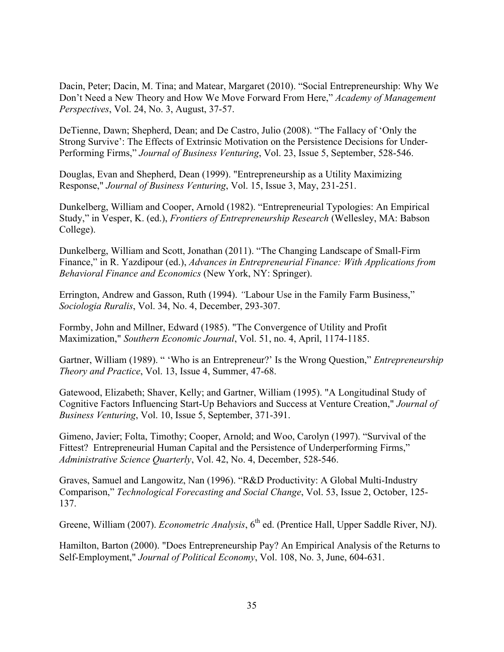Dacin, Peter; Dacin, M. Tina; and Matear, Margaret (2010). "Social Entrepreneurship: Why We Don't Need a New Theory and How We Move Forward From Here," *Academy of Management Perspectives*, Vol. 24, No. 3, August, 37-57.

DeTienne, Dawn; Shepherd, Dean; and De Castro, Julio (2008). "The Fallacy of 'Only the Strong Survive': The Effects of Extrinsic Motivation on the Persistence Decisions for Under-Performing Firms," *Journal of Business Venturing*, Vol. 23, Issue 5, September, 528-546.

Douglas, Evan and Shepherd, Dean (1999). "Entrepreneurship as a Utility Maximizing Response," *Journal of Business Venturing*, Vol. 15, Issue 3, May, 231-251.

Dunkelberg, William and Cooper, Arnold (1982). "Entrepreneurial Typologies: An Empirical Study," in Vesper, K. (ed.), *Frontiers of Entrepreneurship Research* (Wellesley, MA: Babson College).

Dunkelberg, William and Scott, Jonathan (2011). "The Changing Landscape of Small-Firm Finance," in R. Yazdipour (ed.), *Advances in Entrepreneurial Finance: With Applications from Behavioral Finance and Economics* (New York, NY: Springer).

Errington, Andrew and Gasson, Ruth (1994). *"*Labour Use in the Family Farm Business," *Sociologia Ruralis*, Vol. 34, No. 4, December, 293-307.

Formby, John and Millner, Edward (1985). "The Convergence of Utility and Profit Maximization," *Southern Economic Journal*, Vol. 51, no. 4, April, 1174-1185.

Gartner, William (1989). " 'Who is an Entrepreneur?' Is the Wrong Question," *Entrepreneurship Theory and Practice*, Vol. 13, Issue 4, Summer, 47-68.

Gatewood, Elizabeth; Shaver, Kelly; and Gartner, William (1995). "A Longitudinal Study of Cognitive Factors Influencing Start-Up Behaviors and Success at Venture Creation," *Journal of Business Venturing*, Vol. 10, Issue 5, September, 371-391.

Gimeno, Javier; Folta, Timothy; Cooper, Arnold; and Woo, Carolyn (1997). "Survival of the Fittest? Entrepreneurial Human Capital and the Persistence of Underperforming Firms," *Administrative Science Quarterly*, Vol. 42, No. 4, December, 528-546.

Graves, Samuel and Langowitz, Nan (1996). "R&D Productivity: A Global Multi-Industry Comparison," *Technological Forecasting and Social Change*, Vol. 53, Issue 2, October, 125- 137.

Greene, William (2007). *Econometric Analysis*, 6<sup>th</sup> ed. (Prentice Hall, Upper Saddle River, NJ).

Hamilton, Barton (2000). "Does Entrepreneurship Pay? An Empirical Analysis of the Returns to Self-Employment," *Journal of Political Economy*, Vol. 108, No. 3, June, 604-631.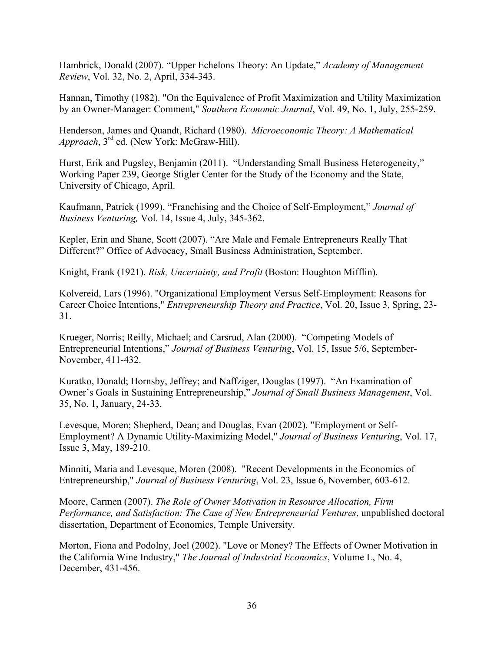Hambrick, Donald (2007). "Upper Echelons Theory: An Update," *Academy of Management Review*, Vol. 32, No. 2, April, 334-343.

Hannan, Timothy (1982). "On the Equivalence of Profit Maximization and Utility Maximization by an Owner-Manager: Comment," *Southern Economic Journal*, Vol. 49, No. 1, July, 255-259.

Henderson, James and Quandt, Richard (1980). *Microeconomic Theory: A Mathematical Approach*, 3rd ed. (New York: McGraw-Hill).

Hurst, Erik and Pugsley, Benjamin (2011). "Understanding Small Business Heterogeneity," Working Paper 239, George Stigler Center for the Study of the Economy and the State, University of Chicago, April.

Kaufmann, Patrick (1999). "Franchising and the Choice of Self-Employment," *Journal of Business Venturing,* Vol. 14, Issue 4, July, 345-362.

Kepler, Erin and Shane, Scott (2007). "Are Male and Female Entrepreneurs Really That Different?" Office of Advocacy, Small Business Administration, September.

Knight, Frank (1921). *Risk, Uncertainty, and Profit* (Boston: Houghton Mifflin).

Kolvereid, Lars (1996). "Organizational Employment Versus Self-Employment: Reasons for Career Choice Intentions," *Entrepreneurship Theory and Practice*, Vol. 20, Issue 3, Spring, 23- 31.

Krueger, Norris; Reilly, Michael; and Carsrud, Alan (2000). "Competing Models of Entrepreneurial Intentions," *Journal of Business Venturing*, Vol. 15, Issue 5/6, September-November, 411-432.

Kuratko, Donald; Hornsby, Jeffrey; and Naffziger, Douglas (1997). "An Examination of Owner's Goals in Sustaining Entrepreneurship," *Journal of Small Business Management*, Vol. 35, No. 1, January, 24-33.

Levesque, Moren; Shepherd, Dean; and Douglas, Evan (2002). "Employment or Self-Employment? A Dynamic Utility-Maximizing Model," *Journal of Business Venturing*, Vol. 17, Issue 3, May, 189-210.

Minniti, Maria and Levesque, Moren (2008). "Recent Developments in the Economics of Entrepreneurship," *Journal of Business Venturing*, Vol. 23, Issue 6, November, 603-612.

Moore, Carmen (2007). *The Role of Owner Motivation in Resource Allocation, Firm Performance, and Satisfaction: The Case of New Entrepreneurial Ventures*, unpublished doctoral dissertation, Department of Economics, Temple University.

Morton, Fiona and Podolny, Joel (2002). "Love or Money? The Effects of Owner Motivation in the California Wine Industry," *The Journal of Industrial Economics*, Volume L, No. 4, December, 431-456.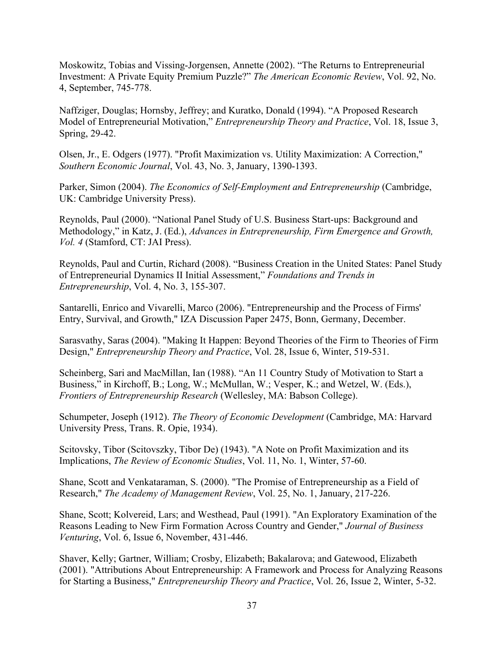Moskowitz, Tobias and Vissing-Jorgensen, Annette (2002). "The Returns to Entrepreneurial Investment: A Private Equity Premium Puzzle?" *The American Economic Review*, Vol. 92, No. 4, September, 745-778.

Naffziger, Douglas; Hornsby, Jeffrey; and Kuratko, Donald (1994). "A Proposed Research Model of Entrepreneurial Motivation," *Entrepreneurship Theory and Practice*, Vol. 18, Issue 3, Spring, 29-42.

Olsen, Jr., E. Odgers (1977). "Profit Maximization vs. Utility Maximization: A Correction," *Southern Economic Journal*, Vol. 43, No. 3, January, 1390-1393.

Parker, Simon (2004). *The Economics of Self-Employment and Entrepreneurship* (Cambridge, UK: Cambridge University Press).

Reynolds, Paul (2000). "National Panel Study of U.S. Business Start-ups: Background and Methodology," in Katz, J. (Ed.), *Advances in Entrepreneurship, Firm Emergence and Growth, Vol. 4* (Stamford, CT: JAI Press).

Reynolds, Paul and Curtin, Richard (2008). "Business Creation in the United States: Panel Study of Entrepreneurial Dynamics II Initial Assessment," *Foundations and Trends in Entrepreneurship*, Vol. 4, No. 3, 155-307.

Santarelli, Enrico and Vivarelli, Marco (2006). "Entrepreneurship and the Process of Firms' Entry, Survival, and Growth," IZA Discussion Paper 2475, Bonn, Germany, December.

Sarasvathy, Saras (2004). "Making It Happen: Beyond Theories of the Firm to Theories of Firm Design," *Entrepreneurship Theory and Practice*, Vol. 28, Issue 6, Winter, 519-531.

Scheinberg, Sari and MacMillan, Ian (1988). "An 11 Country Study of Motivation to Start a Business," in Kirchoff, B.; Long, W.; McMullan, W.; Vesper, K.; and Wetzel, W. (Eds.), *Frontiers of Entrepreneurship Research* (Wellesley, MA: Babson College).

Schumpeter, Joseph (1912). *The Theory of Economic Development* (Cambridge, MA: Harvard University Press, Trans. R. Opie, 1934).

Scitovsky, Tibor (Scitovszky, Tibor De) (1943). "A Note on Profit Maximization and its Implications, *The Review of Economic Studies*, Vol. 11, No. 1, Winter, 57-60.

Shane, Scott and Venkataraman, S. (2000). "The Promise of Entrepreneurship as a Field of Research," *The Academy of Management Review*, Vol. 25, No. 1, January, 217-226.

Shane, Scott; Kolvereid, Lars; and Westhead, Paul (1991). "An Exploratory Examination of the Reasons Leading to New Firm Formation Across Country and Gender," *Journal of Business Venturing*, Vol. 6, Issue 6, November, 431-446.

Shaver, Kelly; Gartner, William; Crosby, Elizabeth; Bakalarova; and Gatewood, Elizabeth (2001). "Attributions About Entrepreneurship: A Framework and Process for Analyzing Reasons for Starting a Business," *Entrepreneurship Theory and Practice*, Vol. 26, Issue 2, Winter, 5-32.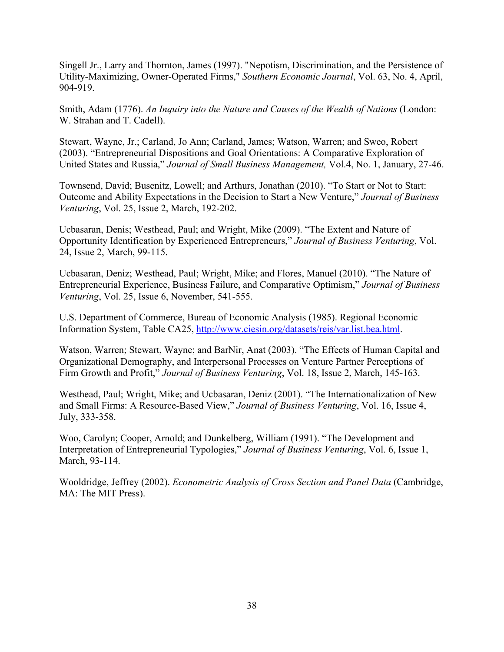Singell Jr., Larry and Thornton, James (1997). "Nepotism, Discrimination, and the Persistence of Utility-Maximizing, Owner-Operated Firms," *Southern Economic Journal*, Vol. 63, No. 4, April, 904-919.

Smith, Adam (1776). *An Inquiry into the Nature and Causes of the Wealth of Nations* (London: W. Strahan and T. Cadell).

Stewart, Wayne, Jr.; Carland, Jo Ann; Carland, James; Watson, Warren; and Sweo, Robert (2003). "Entrepreneurial Dispositions and Goal Orientations: A Comparative Exploration of United States and Russia," *Journal of Small Business Management,* Vol.4, No. 1, January, 27-46.

Townsend, David; Busenitz, Lowell; and Arthurs, Jonathan (2010). "To Start or Not to Start: Outcome and Ability Expectations in the Decision to Start a New Venture," *Journal of Business Venturing*, Vol. 25, Issue 2, March, 192-202.

Ucbasaran, Denis; Westhead, Paul; and Wright, Mike (2009). "The Extent and Nature of Opportunity Identification by Experienced Entrepreneurs," *Journal of Business Venturing*, Vol. 24, Issue 2, March, 99-115.

Ucbasaran, Deniz; Westhead, Paul; Wright, Mike; and Flores, Manuel (2010). "The Nature of Entrepreneurial Experience, Business Failure, and Comparative Optimism," *Journal of Business Venturing*, Vol. 25, Issue 6, November, 541-555.

U.S. Department of Commerce, Bureau of Economic Analysis (1985). Regional Economic Information System, Table CA25, http://www.ciesin.org/datasets/reis/var.list.bea.html.

Watson, Warren; Stewart, Wayne; and BarNir, Anat (2003). "The Effects of Human Capital and Organizational Demography, and Interpersonal Processes on Venture Partner Perceptions of Firm Growth and Profit," *Journal of Business Venturing*, Vol. 18, Issue 2, March, 145-163.

Westhead, Paul; Wright, Mike; and Ucbasaran, Deniz (2001). "The Internationalization of New and Small Firms: A Resource-Based View," *Journal of Business Venturing*, Vol. 16, Issue 4, July, 333-358.

Woo, Carolyn; Cooper, Arnold; and Dunkelberg, William (1991). "The Development and Interpretation of Entrepreneurial Typologies," *Journal of Business Venturing*, Vol. 6, Issue 1, March, 93-114.

Wooldridge, Jeffrey (2002). *Econometric Analysis of Cross Section and Panel Data* (Cambridge, MA: The MIT Press).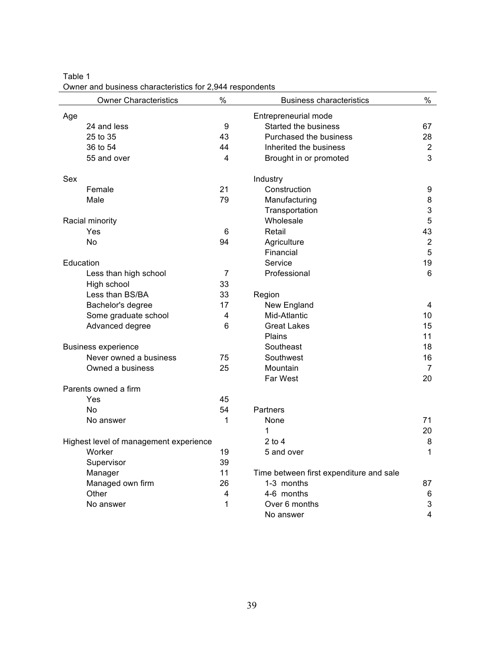| <b>Owner Characteristics</b>           | $\%$           | <b>Business characteristics</b>         | $\%$             |
|----------------------------------------|----------------|-----------------------------------------|------------------|
| Age                                    |                | Entrepreneurial mode                    |                  |
| 24 and less                            | 9              | <b>Started the business</b>             | 67               |
| 25 to 35                               | 43             | Purchased the business                  | 28               |
| 36 to 54                               | 44             | Inherited the business                  | $\boldsymbol{2}$ |
| 55 and over                            | 4              | Brought in or promoted                  | 3                |
| Sex                                    |                | Industry                                |                  |
| Female                                 | 21             | Construction                            | 9                |
| Male                                   | 79             | Manufacturing                           | 8                |
|                                        |                | Transportation                          | $\mathsf 3$      |
| Racial minority                        |                | Wholesale                               | $\overline{5}$   |
| Yes                                    | 6              | Retail                                  | 43               |
| No                                     | 94             | Agriculture                             | $\mathbf 2$      |
|                                        |                | Financial                               | 5                |
| Education                              |                | Service                                 | 19               |
| Less than high school                  | $\overline{7}$ | Professional                            | 6                |
| High school                            | 33             |                                         |                  |
| Less than BS/BA                        | 33             | Region                                  |                  |
| Bachelor's degree                      | 17             | New England                             | 4                |
| Some graduate school                   | 4              | Mid-Atlantic                            | 10               |
| Advanced degree                        | 6              | <b>Great Lakes</b>                      | 15               |
|                                        |                | <b>Plains</b>                           | 11               |
| <b>Business experience</b>             |                | Southeast                               | 18               |
| Never owned a business                 | 75             | Southwest                               | 16               |
| Owned a business                       | 25             | Mountain                                | 7                |
|                                        |                | Far West                                | 20               |
| Parents owned a firm                   |                |                                         |                  |
| Yes                                    | 45             |                                         |                  |
| No                                     | 54             | Partners                                |                  |
| No answer                              | 1              | None                                    | 71               |
|                                        |                | 1                                       | 20               |
| Highest level of management experience |                | $2$ to $4$                              | 8                |
| Worker                                 | 19             | 5 and over                              | 1                |
| Supervisor                             | 39             |                                         |                  |
| Manager                                | 11             | Time between first expenditure and sale |                  |
| Managed own firm                       | 26             | 1-3 months                              | 87               |
| Other                                  | 4              | 4-6 months                              | 6                |
| No answer                              | 1              | Over 6 months                           | 3                |
|                                        |                | No answer                               | $\overline{4}$   |

Table 1 Owner and business characteristics for 2,944 respondents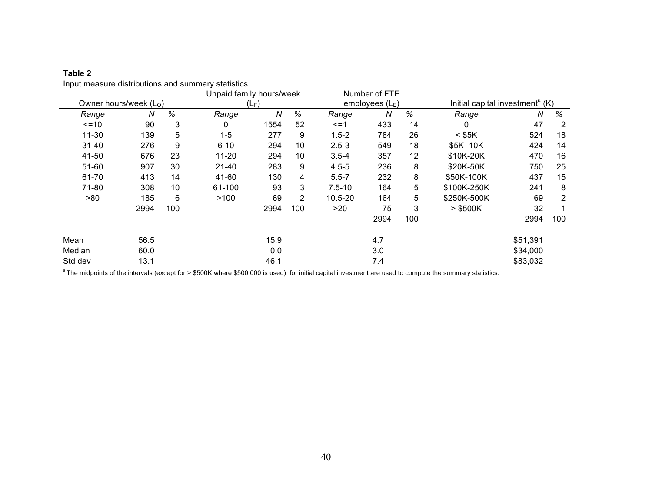| Unpaid family hours/week |      |     |           |         |     |             | Number of FTE          |                                             |             |          |     |
|--------------------------|------|-----|-----------|---------|-----|-------------|------------------------|---------------------------------------------|-------------|----------|-----|
| Owner hours/week $(LO)$  |      |     |           | $(L_F)$ |     |             | employees $(L_E)$      | Initial capital investment <sup>a</sup> (K) |             |          |     |
| Range                    | N    | %   | Range     | N       | %   | Range       | N                      | %                                           | Range       | N        | %   |
| $\le$ = 10               | 90   | 3   | 0         | 1554    | 52  | $\leq$ =1   | 433                    | 14                                          | 0           | 47       | 2   |
| $11 - 30$                | 139  | 5   | $1 - 5$   | 277     | 9   | $1.5 - 2$   | 784                    | 26                                          | $<$ \$5K    | 524      | 18  |
| $31 - 40$                | 276  | 9   | $6 - 10$  | 294     | 10  | $2.5 - 3$   | 549                    | 18                                          | \$5K-10K    | 424      | 14  |
| 41-50                    | 676  | 23  | $11 - 20$ | 294     | 10  | $3.5 - 4$   | 12<br>357<br>\$10K-20K |                                             | 470         | 16       |     |
| 51-60                    | 907  | 30  | $21 - 40$ | 283     | 9   | $4.5 - 5$   | 236                    | 8                                           | \$20K-50K   | 750      | 25  |
| 61-70                    | 413  | 14  | 41-60     | 130     | 4   | $5.5 - 7$   | 232                    | 8                                           | \$50K-100K  | 437      | 15  |
| 71-80                    | 308  | 10  | 61-100    | 93      | 3   | $7.5 - 10$  | 164                    | 5                                           | \$100K-250K | 241      | 8   |
| >80                      | 185  | 6   | >100      | 69      | 2   | $10.5 - 20$ | 164                    | 5                                           | \$250K-500K | 69       | 2   |
|                          | 2994 | 100 |           | 2994    | 100 | >20         | 75                     | 3                                           | > \$500K    | 32       |     |
|                          |      |     |           |         |     |             | 2994                   | 100                                         |             | 2994     | 100 |
| Mean                     | 56.5 |     |           | 15.9    |     |             | 4.7                    |                                             |             | \$51,391 |     |
| Median                   | 60.0 |     |           | 0.0     |     |             | 3.0                    |                                             |             | \$34,000 |     |
| Std dev                  | 13.1 |     |           | 46.1    |     |             | 7.4                    |                                             |             | \$83,032 |     |

**Table 2** Input measure distributions and summary statistics

<sup>a</sup> The midpoints of the intervals (except for > \$500K where \$500,000 is used) for initial capital investment are used to compute the summary statistics.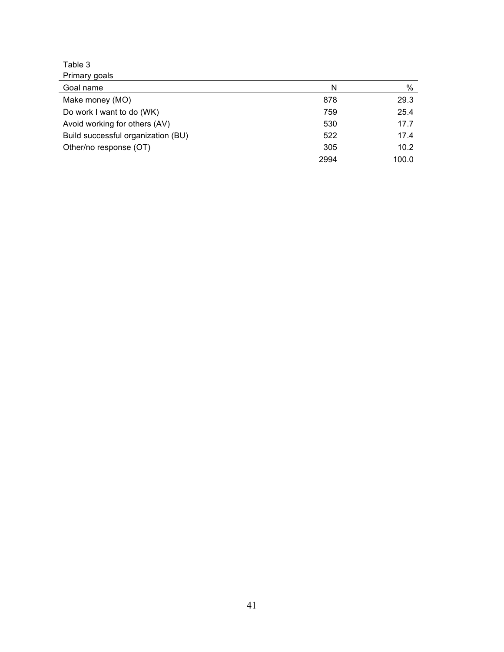Table 3 Primary goals

| <b>THING</b> Y YOUN                |      |       |
|------------------------------------|------|-------|
| Goal name                          | N    | %     |
| Make money (MO)                    | 878  | 29.3  |
| Do work I want to do (WK)          | 759  | 25.4  |
| Avoid working for others (AV)      | 530  | 17.7  |
| Build successful organization (BU) | 522  | 17.4  |
| Other/no response (OT)             | 305  | 10.2  |
|                                    | 2994 | 100.0 |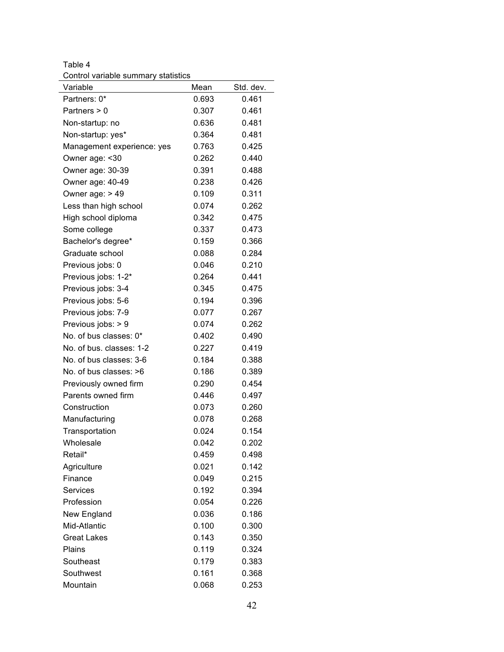Table 4

Control variable summary statistics

| Variable                   | Mean  | Std. dev. |
|----------------------------|-------|-----------|
| Partners: 0*               | 0.693 | 0.461     |
| Partners $> 0$             | 0.307 | 0.461     |
| Non-startup: no            | 0.636 | 0.481     |
| Non-startup: yes*          | 0.364 | 0.481     |
| Management experience: yes | 0.763 | 0.425     |
| Owner age: <30             | 0.262 | 0.440     |
| Owner age: 30-39           | 0.391 | 0.488     |
| Owner age: 40-49           | 0.238 | 0.426     |
| Owner age: > 49            | 0.109 | 0.311     |
| Less than high school      | 0.074 | 0.262     |
| High school diploma        | 0.342 | 0.475     |
| Some college               | 0.337 | 0.473     |
| Bachelor's degree*         | 0.159 | 0.366     |
| Graduate school            | 0.088 | 0.284     |
| Previous jobs: 0           | 0.046 | 0.210     |
| Previous jobs: 1-2*        | 0.264 | 0.441     |
| Previous jobs: 3-4         | 0.345 | 0.475     |
| Previous jobs: 5-6         | 0.194 | 0.396     |
| Previous jobs: 7-9         | 0.077 | 0.267     |
| Previous jobs: > 9         | 0.074 | 0.262     |
| No. of bus classes: 0*     | 0.402 | 0.490     |
| No. of bus. classes: 1-2   | 0.227 | 0.419     |
| No. of bus classes: 3-6    | 0.184 | 0.388     |
| No. of bus classes: >6     | 0.186 | 0.389     |
| Previously owned firm      | 0.290 | 0.454     |
| Parents owned firm         | 0.446 | 0.497     |
| Construction               | 0.073 | 0.260     |
| Manufacturing              | 0.078 | 0.268     |
| Transportation             | 0.024 | 0.154     |
| Wholesale                  | 0.042 | 0.202     |
| Retail*                    | 0.459 | 0.498     |
| Agriculture                | 0.021 | 0.142     |
| Finance                    | 0.049 | 0.215     |
| Services                   | 0.192 | 0.394     |
| Profession                 | 0.054 | 0.226     |
| New England                | 0.036 | 0.186     |
| Mid-Atlantic               | 0.100 | 0.300     |
| <b>Great Lakes</b>         | 0.143 | 0.350     |
| Plains                     | 0.119 | 0.324     |
| Southeast                  | 0.179 | 0.383     |
| Southwest                  | 0.161 | 0.368     |
| Mountain                   | 0.068 | 0.253     |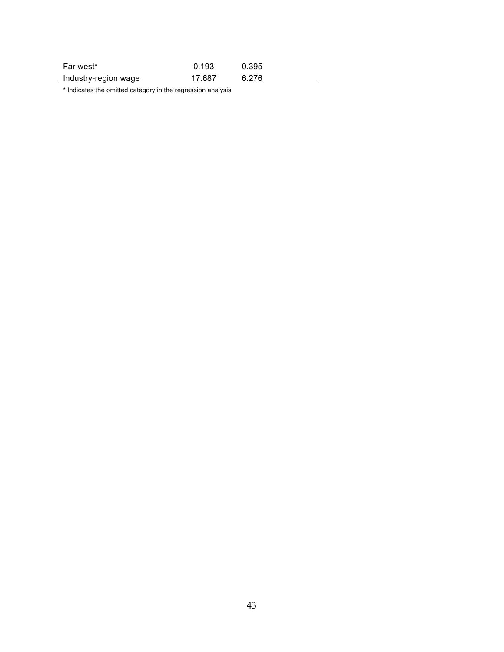| Far west*            | 0.193  | 0.395 |
|----------------------|--------|-------|
| Industry-region wage | 17.687 | 6.276 |

÷,

\* Indicates the omitted category in the regression analysis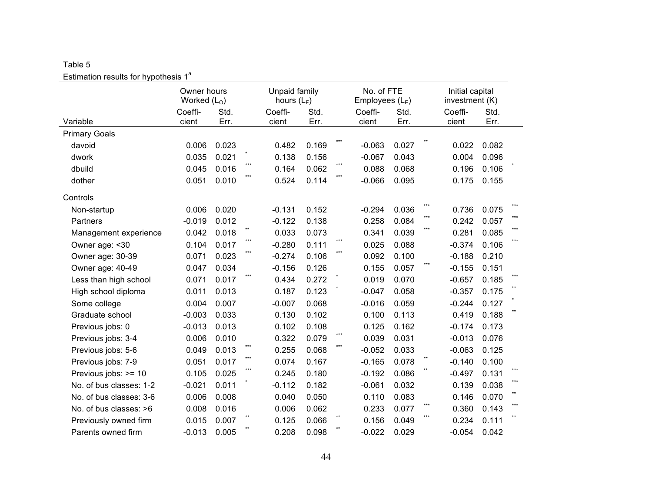## Table 5 Estimation results for hypothesis  $1^a$

|                         | Owner hours<br>Worked $(LO)$ |       |       | Unpaid family<br>hours $(L_F)$ |       |       | No. of FTE<br>Employees $(L_E)$ |       | Initial capital<br>investment (K) |          |       |              |
|-------------------------|------------------------------|-------|-------|--------------------------------|-------|-------|---------------------------------|-------|-----------------------------------|----------|-------|--------------|
|                         | Coeffi-                      | Std.  |       | Coeffi-                        | Std.  |       | Coeffi-                         | Std.  |                                   | Coeffi-  | Std.  |              |
| Variable                | cient                        | Err.  |       | cient                          | Err.  |       | cient                           | Err.  |                                   | cient    | Err.  |              |
| <b>Primary Goals</b>    |                              |       |       |                                |       | ***   |                                 |       |                                   |          |       |              |
| davoid                  | 0.006                        | 0.023 |       | 0.482                          | 0.169 |       | $-0.063$                        | 0.027 |                                   | 0.022    | 0.082 |              |
| dwork                   | 0.035                        | 0.021 | $***$ | 0.138                          | 0.156 | ***   | $-0.067$                        | 0.043 |                                   | 0.004    | 0.096 |              |
| dbuild                  | 0.045                        | 0.016 | $***$ | 0.164                          | 0.062 | ***   | 0.088                           | 0.068 |                                   | 0.196    | 0.106 |              |
| dother                  | 0.051                        | 0.010 |       | 0.524                          | 0.114 |       | $-0.066$                        | 0.095 |                                   | 0.175    | 0.155 |              |
| Controls                |                              |       |       |                                |       |       |                                 |       |                                   |          |       |              |
| Non-startup             | 0.006                        | 0.020 |       | $-0.131$                       | 0.152 |       | $-0.294$                        | 0.036 |                                   | 0.736    | 0.075 |              |
| Partners                | $-0.019$                     | 0.012 |       | $-0.122$                       | 0.138 |       | 0.258                           | 0.084 | ***                               | 0.242    | 0.057 | $***$        |
| Management experience   | 0.042                        | 0.018 |       | 0.033                          | 0.073 |       | 0.341                           | 0.039 | ***                               | 0.281    | 0.085 | $***$        |
| Owner age: < 30         | 0.104                        | 0.017 | $***$ | $-0.280$                       | 0.111 | ***   | 0.025                           | 0.088 |                                   | $-0.374$ | 0.106 |              |
| Owner age: 30-39        | 0.071                        | 0.023 | ***   | $-0.274$                       | 0.106 |       | 0.092                           | 0.100 |                                   | $-0.188$ | 0.210 |              |
| Owner age: 40-49        | 0.047                        | 0.034 |       | $-0.156$                       | 0.126 |       | 0.155                           | 0.057 |                                   | $-0.155$ | 0.151 |              |
| Less than high school   | 0.071                        | 0.017 | $***$ | 0.434                          | 0.272 |       | 0.019                           | 0.070 |                                   | $-0.657$ | 0.185 |              |
| High school diploma     | 0.011                        | 0.013 |       | 0.187                          | 0.123 |       | $-0.047$                        | 0.058 |                                   | $-0.357$ | 0.175 |              |
| Some college            | 0.004                        | 0.007 |       | $-0.007$                       | 0.068 |       | $-0.016$                        | 0.059 |                                   | $-0.244$ | 0.127 |              |
| Graduate school         | $-0.003$                     | 0.033 |       | 0.130                          | 0.102 |       | 0.100                           | 0.113 |                                   | 0.419    | 0.188 |              |
| Previous jobs: 0        | $-0.013$                     | 0.013 |       | 0.102                          | 0.108 |       | 0.125                           | 0.162 |                                   | $-0.174$ | 0.173 |              |
| Previous jobs: 3-4      | 0.006                        | 0.010 |       | 0.322                          | 0.079 | $***$ | 0.039                           | 0.031 |                                   | $-0.013$ | 0.076 |              |
| Previous jobs: 5-6      | 0.049                        | 0.013 | $***$ | 0.255                          | 0.068 | ***   | $-0.052$                        | 0.033 |                                   | $-0.063$ | 0.125 |              |
| Previous jobs: 7-9      | 0.051                        | 0.017 | $***$ | 0.074                          | 0.167 |       | $-0.165$                        | 0.078 |                                   | $-0.140$ | 0.100 |              |
| Previous jobs: >= 10    | 0.105                        | 0.025 | ***   | 0.245                          | 0.180 |       | $-0.192$                        | 0.086 |                                   | $-0.497$ | 0.131 | $***$        |
| No. of bus classes: 1-2 | $-0.021$                     | 0.011 |       | $-0.112$                       | 0.182 |       | $-0.061$                        | 0.032 |                                   | 0.139    | 0.038 | $***$        |
| No. of bus classes: 3-6 | 0.006                        | 0.008 |       | 0.040                          | 0.050 |       | 0.110                           | 0.083 |                                   | 0.146    | 0.070 | $\star\star$ |
| No. of bus classes: >6  | 0.008                        | 0.016 |       | 0.006                          | 0.062 |       | 0.233                           | 0.077 | ***                               | 0.360    | 0.143 | ***          |
| Previously owned firm   | 0.015                        | 0.007 |       | 0.125                          | 0.066 |       | 0.156                           | 0.049 | ***                               | 0.234    | 0.111 |              |
| Parents owned firm      | $-0.013$                     | 0.005 |       | 0.208                          | 0.098 |       | $-0.022$                        | 0.029 |                                   | $-0.054$ | 0.042 |              |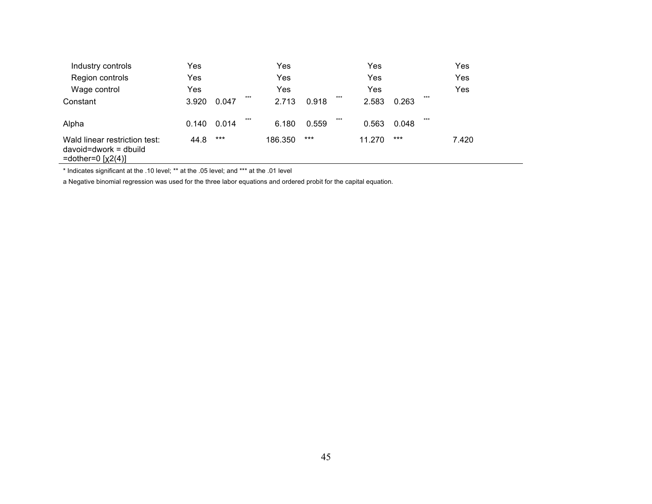| Industry controls                                                                 | Yes   |       |       | Yes     |       |     | Yes    |       |       | Yes   |
|-----------------------------------------------------------------------------------|-------|-------|-------|---------|-------|-----|--------|-------|-------|-------|
| Region controls                                                                   | Yes   |       |       | Yes     |       |     | Yes    |       |       | Yes   |
| Wage control                                                                      | Yes   |       |       | Yes     |       |     | Yes    |       |       | Yes   |
| Constant                                                                          | 3.920 | 0.047 | $***$ | 2.713   | 0.918 | *** | 2.583  | 0.263 | ***   |       |
| Alpha                                                                             | 0.140 | 0.014 | $***$ | 6.180   | 0.559 | *** | 0.563  | 0.048 | $***$ |       |
| Wald linear restriction test:<br>$davoid=dwork = dbuid$<br>$=$ dother=0 $[x2(4)]$ | 44.8  | $***$ |       | 186.350 | ***   |     | 11.270 | ***   |       | 7.420 |

\* Indicates significant at the .10 level; \*\* at the .05 level; and \*\*\* at the .01 level

a Negative binomial regression was used for the three labor equations and ordered probit for the capital equation.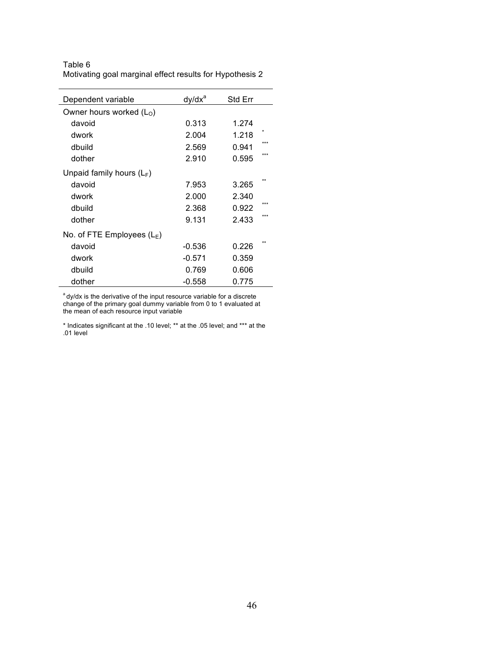| Dependent variable          | $dy/dx^a$ | <b>Std Err</b> |     |
|-----------------------------|-----------|----------------|-----|
| Owner hours worked $(LO)$   |           |                |     |
| davoid                      | 0.313     | 1.274          |     |
| dwork                       | 2.004     | 1.218          |     |
| dbuild                      | 2.569     | 0.941          | *** |
| dother                      | 2.910     | 0.595          | *** |
| Unpaid family hours $(L_F)$ |           |                |     |
| davoid                      | 7.953     | 3.265          |     |
| dwork                       | 2.000     | 2.340          |     |
| dbuild                      | 2.368     | 0.922          | *** |
| dother                      | 9.131     | 2.433          | *** |
| No. of FTE Employees $(LE)$ |           |                |     |
| davoid                      | $-0.536$  | 0.226          |     |
| dwork                       | $-0.571$  | 0.359          |     |
| dbuild                      | 0.769     | 0.606          |     |
| dother                      | -0.558    | 0.775          |     |

Table 6 Motivating goal marginal effect results for Hypothesis 2

<sup>a</sup> dy/dx is the derivative of the input resource variable for a discrete change of the primary goal dummy variable from 0 to 1 evaluated at the mean of each resource input variable

\* Indicates significant at the .10 level; \*\* at the .05 level; and \*\*\* at the .01 level